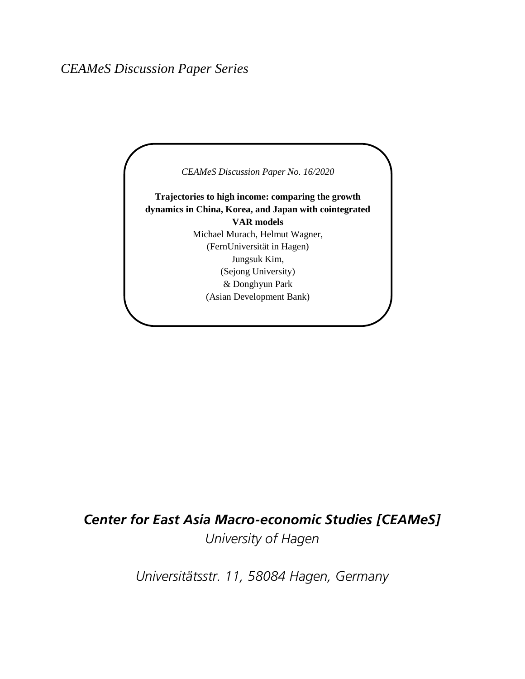## *CEAMeS Discussion Paper Series*

*CEAMeS Discussion Paper No. 16/2020* **Trajectories to high income: comparing the growth dynamics in China, Korea, and Japan with cointegrated VAR models** Michael Murach, Helmut Wagner, (FernUniversität in Hagen) Jungsuk Kim, (Sejong University) & Donghyun Park (Asian Development Bank)

# *Center for East Asia Macro-economic Studies [CEAMeS]*

*University of Hagen*

*Universitätsstr. 11, 58084 Hagen, Germany*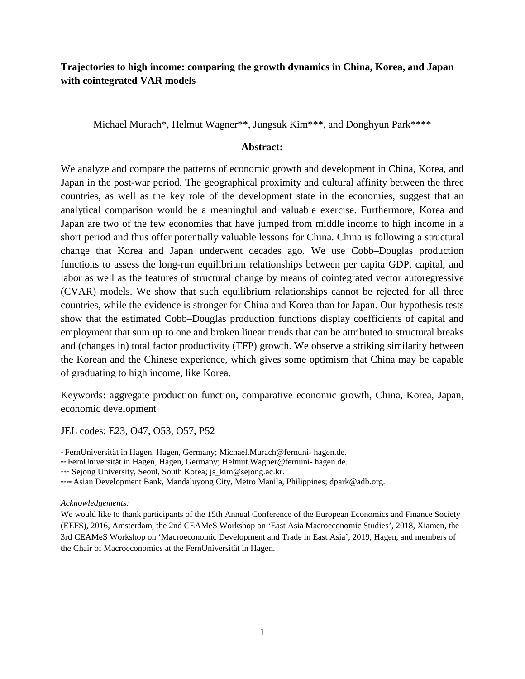## **Trajectories to high income: comparing the growth dynamics in China, Korea, and Japan with cointegrated VAR models**

Michael Murach\*, Helmut Wagner\*\*, Jungsuk Kim\*\*\*, and Donghyun Park\*\*\*\*

#### **Abstract:**

We analyze and compare the patterns of economic growth and development in China, Korea, and Japan in the post-war period. The geographical proximity and cultural affinity between the three countries, as well as the key role of the development state in the economies, suggest that an analytical comparison would be a meaningful and valuable exercise. Furthermore, Korea and Japan are two of the few economies that have jumped from middle income to high income in a short period and thus offer potentially valuable lessons for China. China is following a structural change that Korea and Japan underwent decades ago. We use Cobb–Douglas production functions to assess the long-run equilibrium relationships between per capita GDP, capital, and labor as well as the features of structural change by means of cointegrated vector autoregressive (CVAR) models. We show that such equilibrium relationships cannot be rejected for all three countries, while the evidence is stronger for China and Korea than for Japan. Our hypothesis tests show that the estimated Cobb–Douglas production functions display coefficients of capital and employment that sum up to one and broken linear trends that can be attributed to structural breaks and (changes in) total factor productivity (TFP) growth. We observe a striking similarity between the Korean and the Chinese experience, which gives some optimism that China may be capable of graduating to high income, like Korea.

Keywords: aggregate production function, comparative economic growth, China, Korea, Japan, economic development

JEL codes: E23, O47, O53, O57, P52

\* FernUniversität in Hagen, Hagen, Germany; Michael.Murach@fernuni- hagen.de.

\*\* FernUniversität in Hagen, Hagen, Germany; Helmut. Wagner@fernuni- hagen.de.

\*\*\* Sejong University, Seoul, South Korea; js\_kim@sejong.ac.kr.

\*\*\*\* Asian Development Bank, Mandaluyong City, Metro Manila, Philippines; dpark@adb.org.

*Acknowledgements:* 

We would like to thank participants of the 15th Annual Conference of the European Economics and Finance Society (EEFS), 2016, Amsterdam, the 2nd CEAMeS Workshop on 'East Asia Macroeconomic Studies', 2018, Xiamen, the 3rd CEAMeS Workshop on 'Macroeconomic Development and Trade in East Asia', 2019, Hagen, and members of the Chair of Macroeconomics at the FernUniversität in Hagen.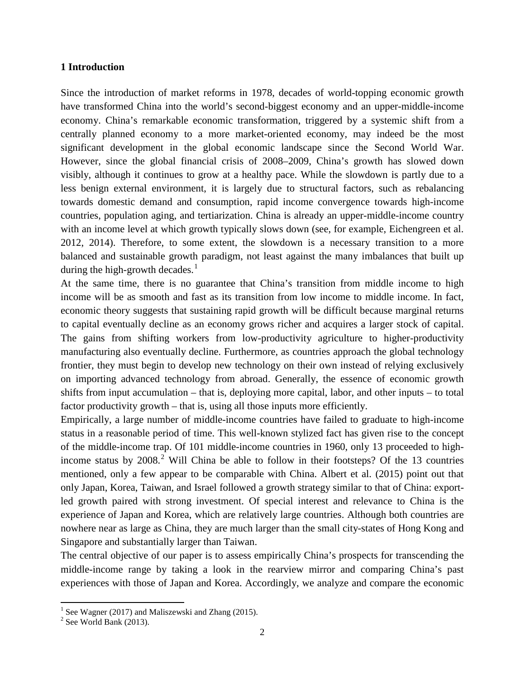#### **1 Introduction**

Since the introduction of market reforms in 1978, decades of world-topping economic growth have transformed China into the world's second-biggest economy and an upper-middle-income economy. China's remarkable economic transformation, triggered by a systemic shift from a centrally planned economy to a more market-oriented economy, may indeed be the most significant development in the global economic landscape since the Second World War. However, since the global financial crisis of 2008–2009, China's growth has slowed down visibly, although it continues to grow at a healthy pace. While the slowdown is partly due to a less benign external environment, it is largely due to structural factors, such as rebalancing towards domestic demand and consumption, rapid income convergence towards high-income countries, population aging, and tertiarization. China is already an upper-middle-income country with an income level at which growth typically slows down (see, for example, Eichengreen et al. 2012, 2014). Therefore, to some extent, the slowdown is a necessary transition to a more balanced and sustainable growth paradigm, not least against the many imbalances that built up during the high-growth decades. $<sup>1</sup>$  $<sup>1</sup>$  $<sup>1</sup>$ </sup>

At the same time, there is no guarantee that China's transition from middle income to high income will be as smooth and fast as its transition from low income to middle income. In fact, economic theory suggests that sustaining rapid growth will be difficult because marginal returns to capital eventually decline as an economy grows richer and acquires a larger stock of capital. The gains from shifting workers from low-productivity agriculture to higher-productivity manufacturing also eventually decline. Furthermore, as countries approach the global technology frontier, they must begin to develop new technology on their own instead of relying exclusively on importing advanced technology from abroad. Generally, the essence of economic growth shifts from input accumulation – that is, deploying more capital, labor, and other inputs – to total factor productivity growth – that is, using all those inputs more efficiently.

Empirically, a large number of middle-income countries have failed to graduate to high-income status in a reasonable period of time. This well-known stylized fact has given rise to the concept of the middle-income trap. Of 101 middle-income countries in 1960, only 13 proceeded to highincome status by  $2008<sup>2</sup>$  $2008<sup>2</sup>$  Will China be able to follow in their footsteps? Of the 13 countries mentioned, only a few appear to be comparable with China. Albert et al. (2015) point out that only Japan, Korea, Taiwan, and Israel followed a growth strategy similar to that of China: exportled growth paired with strong investment. Of special interest and relevance to China is the experience of Japan and Korea, which are relatively large countries. Although both countries are nowhere near as large as China, they are much larger than the small city-states of Hong Kong and Singapore and substantially larger than Taiwan.

The central objective of our paper is to assess empirically China's prospects for transcending the middle-income range by taking a look in the rearview mirror and comparing China's past experiences with those of Japan and Korea. Accordingly, we analyze and compare the economic

 $\overline{a}$ 

<span id="page-2-0"></span><sup>&</sup>lt;sup>1</sup> See Wagner (2017) and Maliszewski and Zhang (2015).<br><sup>2</sup> See World Bank (2013).

<span id="page-2-1"></span>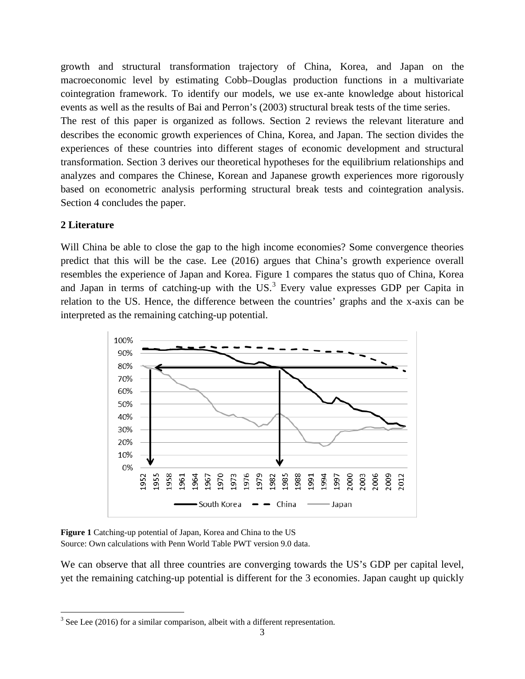growth and structural transformation trajectory of China, Korea, and Japan on the macroeconomic level by estimating Cobb–Douglas production functions in a multivariate cointegration framework. To identify our models, we use ex-ante knowledge about historical events as well as the results of Bai and Perron's (2003) structural break tests of the time series.

The rest of this paper is organized as follows. Section 2 reviews the relevant literature and describes the economic growth experiences of China, Korea, and Japan. The section divides the experiences of these countries into different stages of economic development and structural transformation. Section 3 derives our theoretical hypotheses for the equilibrium relationships and analyzes and compares the Chinese, Korean and Japanese growth experiences more rigorously based on econometric analysis performing structural break tests and cointegration analysis. Section 4 concludes the paper.

## **2 Literature**

 $\overline{a}$ 

Will China be able to close the gap to the high income economies? Some convergence theories predict that this will be the case. Lee (2016) argues that China's growth experience overall resembles the experience of Japan and Korea. Figure 1 compares the status quo of China, Korea and Japan in terms of catching-up with the  $US<sup>3</sup>$  $US<sup>3</sup>$  $US<sup>3</sup>$  Every value expresses GDP per Capita in relation to the US. Hence, the difference between the countries' graphs and the x-axis can be interpreted as the remaining catching-up potential.



**Figure 1** Catching-up potential of Japan, Korea and China to the US Source: Own calculations with Penn World Table PWT version 9.0 data.

We can observe that all three countries are converging towards the US's GDP per capital level, yet the remaining catching-up potential is different for the 3 economies. Japan caught up quickly

<span id="page-3-0"></span> $3$  See Lee (2016) for a similar comparison, albeit with a different representation.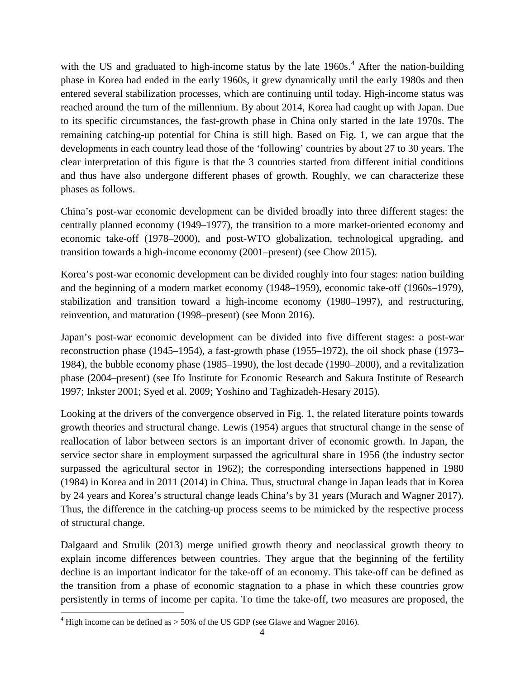with the US and graduated to high-income status by the late  $1960s<sup>4</sup>$  $1960s<sup>4</sup>$  $1960s<sup>4</sup>$ . After the nation-building phase in Korea had ended in the early 1960s, it grew dynamically until the early 1980s and then entered several stabilization processes, which are continuing until today. High-income status was reached around the turn of the millennium. By about 2014, Korea had caught up with Japan. Due to its specific circumstances, the fast-growth phase in China only started in the late 1970s. The remaining catching-up potential for China is still high. Based on Fig. 1, we can argue that the developments in each country lead those of the 'following' countries by about 27 to 30 years. The clear interpretation of this figure is that the 3 countries started from different initial conditions and thus have also undergone different phases of growth. Roughly, we can characterize these phases as follows.

China's post-war economic development can be divided broadly into three different stages: the centrally planned economy (1949–1977), the transition to a more market-oriented economy and economic take-off (1978–2000), and post-WTO globalization, technological upgrading, and transition towards a high-income economy (2001–present) (see Chow 2015).

Korea's post-war economic development can be divided roughly into four stages: nation building and the beginning of a modern market economy (1948–1959), economic take-off (1960s–1979), stabilization and transition toward a high-income economy (1980–1997), and restructuring, reinvention, and maturation (1998–present) (see Moon 2016).

Japan's post-war economic development can be divided into five different stages: a post-war reconstruction phase (1945–1954), a fast-growth phase (1955–1972), the oil shock phase (1973– 1984), the bubble economy phase (1985–1990), the lost decade (1990–2000), and a revitalization phase (2004–present) (see Ifo Institute for Economic Research and Sakura Institute of Research 1997; Inkster 2001; Syed et al. 2009; Yoshino and Taghizadeh-Hesary 2015).

Looking at the drivers of the convergence observed in Fig. 1, the related literature points towards growth theories and structural change. Lewis (1954) argues that structural change in the sense of reallocation of labor between sectors is an important driver of economic growth. In Japan, the service sector share in employment surpassed the agricultural share in 1956 (the industry sector surpassed the agricultural sector in 1962); the corresponding intersections happened in 1980 (1984) in Korea and in 2011 (2014) in China. Thus, structural change in Japan leads that in Korea by 24 years and Korea's structural change leads China's by 31 years (Murach and Wagner 2017). Thus, the difference in the catching-up process seems to be mimicked by the respective process of structural change.

Dalgaard and Strulik (2013) merge unified growth theory and neoclassical growth theory to explain income differences between countries. They argue that the beginning of the fertility decline is an important indicator for the take-off of an economy. This take-off can be defined as the transition from a phase of economic stagnation to a phase in which these countries grow persistently in terms of income per capita. To time the take-off, two measures are proposed, the

 $\overline{a}$ 

<span id="page-4-0"></span><sup>&</sup>lt;sup>4</sup> High income can be defined as  $>$  50% of the US GDP (see Glawe and Wagner 2016).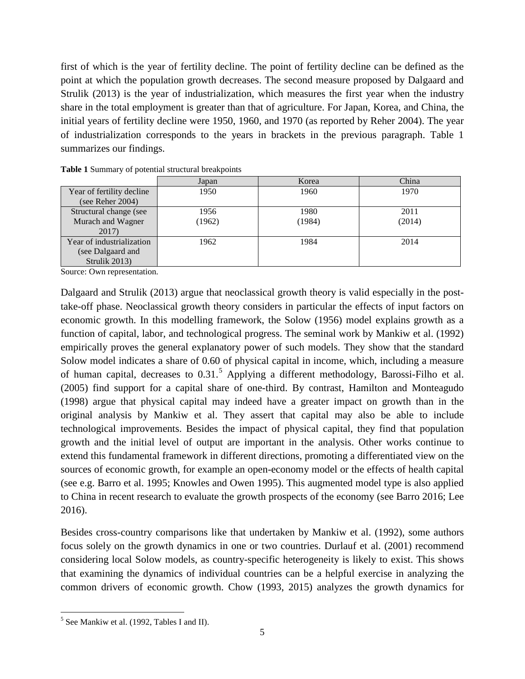first of which is the year of fertility decline. The point of fertility decline can be defined as the point at which the population growth decreases. The second measure proposed by Dalgaard and Strulik (2013) is the year of industrialization, which measures the first year when the industry share in the total employment is greater than that of agriculture. For Japan, Korea, and China, the initial years of fertility decline were 1950, 1960, and 1970 (as reported by Reher 2004). The year of industrialization corresponds to the years in brackets in the previous paragraph. Table 1 summarizes our findings.

|                           | Japan  | Korea  | China  |
|---------------------------|--------|--------|--------|
| Year of fertility decline | 1950   | 1960   | 1970   |
| (see Reher $2004$ )       |        |        |        |
| Structural change (see    | 1956   | 1980   | 2011   |
| Murach and Wagner         | (1962) | (1984) | (2014) |
| 2017)                     |        |        |        |
| Year of industrialization | 1962   | 1984   | 2014   |
| (see Dalgaard and         |        |        |        |
| Strulik 2013)             |        |        |        |

|  |  |  |  | Table 1 Summary of potential structural breakpoints |
|--|--|--|--|-----------------------------------------------------|
|--|--|--|--|-----------------------------------------------------|

Source: Own representation.

Dalgaard and Strulik (2013) argue that neoclassical growth theory is valid especially in the posttake-off phase. Neoclassical growth theory considers in particular the effects of input factors on economic growth. In this modelling framework, the Solow (1956) model explains growth as a function of capital, labor, and technological progress. The seminal work by Mankiw et al. (1992) empirically proves the general explanatory power of such models. They show that the standard Solow model indicates a share of 0.60 of physical capital in income, which, including a measure of human capital, decreases to 0.31.<sup>[5](#page-5-0)</sup> Applying a different methodology, Barossi-Filho et al. (2005) find support for a capital share of one-third. By contrast, Hamilton and Monteagudo (1998) argue that physical capital may indeed have a greater impact on growth than in the original analysis by Mankiw et al. They assert that capital may also be able to include technological improvements. Besides the impact of physical capital, they find that population growth and the initial level of output are important in the analysis. Other works continue to extend this fundamental framework in different directions, promoting a differentiated view on the sources of economic growth, for example an open-economy model or the effects of health capital (see e.g. Barro et al. 1995; Knowles and Owen 1995). This augmented model type is also applied to China in recent research to evaluate the growth prospects of the economy (see Barro 2016; Lee 2016).

Besides cross-country comparisons like that undertaken by Mankiw et al. (1992), some authors focus solely on the growth dynamics in one or two countries. Durlauf et al. (2001) recommend considering local Solow models, as country-specific heterogeneity is likely to exist. This shows that examining the dynamics of individual countries can be a helpful exercise in analyzing the common drivers of economic growth. Chow (1993, 2015) analyzes the growth dynamics for

<span id="page-5-0"></span><sup>5</sup> See Mankiw et al. (1992, Tables I and II).  $\overline{a}$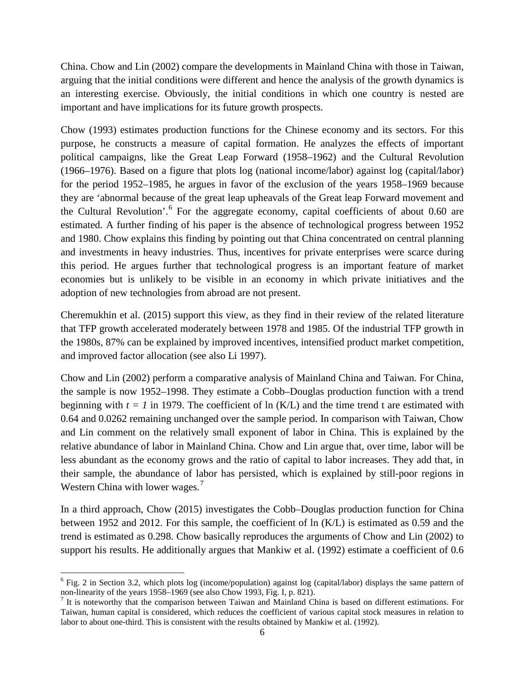China. Chow and Lin (2002) compare the developments in Mainland China with those in Taiwan, arguing that the initial conditions were different and hence the analysis of the growth dynamics is an interesting exercise. Obviously, the initial conditions in which one country is nested are important and have implications for its future growth prospects.

Chow (1993) estimates production functions for the Chinese economy and its sectors. For this purpose, he constructs a measure of capital formation. He analyzes the effects of important political campaigns, like the Great Leap Forward (1958–1962) and the Cultural Revolution (1966–1976). Based on a figure that plots log (national income/labor) against log (capital/labor) for the period 1952–1985, he argues in favor of the exclusion of the years 1958–1969 because they are 'abnormal because of the great leap upheavals of the Great leap Forward movement and the Cultural Revolution'.<sup>[6](#page-6-0)</sup> For the aggregate economy, capital coefficients of about 0.60 are estimated. A further finding of his paper is the absence of technological progress between 1952 and 1980. Chow explains this finding by pointing out that China concentrated on central planning and investments in heavy industries. Thus, incentives for private enterprises were scarce during this period. He argues further that technological progress is an important feature of market economies but is unlikely to be visible in an economy in which private initiatives and the adoption of new technologies from abroad are not present.

Cheremukhin et al. (2015) support this view, as they find in their review of the related literature that TFP growth accelerated moderately between 1978 and 1985. Of the industrial TFP growth in the 1980s, 87% can be explained by improved incentives, intensified product market competition, and improved factor allocation (see also Li 1997).

Chow and Lin (2002) perform a comparative analysis of Mainland China and Taiwan. For China, the sample is now 1952–1998. They estimate a Cobb–Douglas production function with a trend beginning with  $t = 1$  in 1979. The coefficient of ln (K/L) and the time trend t are estimated with 0.64 and 0.0262 remaining unchanged over the sample period. In comparison with Taiwan, Chow and Lin comment on the relatively small exponent of labor in China. This is explained by the relative abundance of labor in Mainland China. Chow and Lin argue that, over time, labor will be less abundant as the economy grows and the ratio of capital to labor increases. They add that, in their sample, the abundance of labor has persisted, which is explained by still-poor regions in Western China with lower wages.<sup>[7](#page-6-1)</sup>

In a third approach, Chow (2015) investigates the Cobb–Douglas production function for China between 1952 and 2012. For this sample, the coefficient of ln (K/L) is estimated as 0.59 and the trend is estimated as 0.298. Chow basically reproduces the arguments of Chow and Lin (2002) to support his results. He additionally argues that Mankiw et al. (1992) estimate a coefficient of 0.6

 $\overline{a}$ 

<span id="page-6-0"></span> $6$  Fig. 2 in Section 3.2, which plots log (income/population) against log (capital/labor) displays the same pattern of non-linearity of the years 1958–1969 (see also Chow 1993, Fig. I, p. 821).<br><sup>7</sup> It is noteworthy that the comparison between Taiwan and Mainland China is based on different estimations. For

<span id="page-6-1"></span>Taiwan, human capital is considered, which reduces the coefficient of various capital stock measures in relation to labor to about one-third. This is consistent with the results obtained by Mankiw et al. (1992).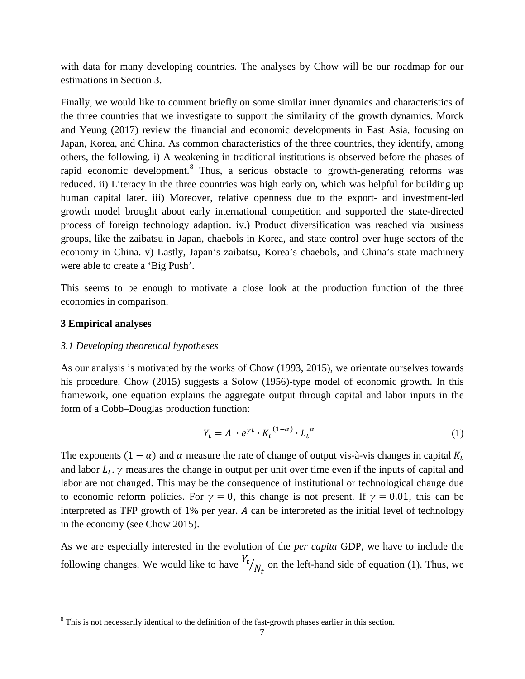with data for many developing countries. The analyses by Chow will be our roadmap for our estimations in Section 3.

Finally, we would like to comment briefly on some similar inner dynamics and characteristics of the three countries that we investigate to support the similarity of the growth dynamics. Morck and Yeung (2017) review the financial and economic developments in East Asia, focusing on Japan, Korea, and China. As common characteristics of the three countries, they identify, among others, the following. i) A weakening in traditional institutions is observed before the phases of rapid economic development.<sup>[8](#page-7-0)</sup> Thus, a serious obstacle to growth-generating reforms was reduced. ii) Literacy in the three countries was high early on, which was helpful for building up human capital later. iii) Moreover, relative openness due to the export- and investment-led growth model brought about early international competition and supported the state-directed process of foreign technology adaption. iv.) Product diversification was reached via business groups, like the zaibatsu in Japan, chaebols in Korea, and state control over huge sectors of the economy in China. v) Lastly, Japan's zaibatsu, Korea's chaebols, and China's state machinery were able to create a 'Big Push'.

This seems to be enough to motivate a close look at the production function of the three economies in comparison.

## **3 Empirical analyses**

 $\overline{a}$ 

## *3.1 Developing theoretical hypotheses*

As our analysis is motivated by the works of Chow (1993, 2015), we orientate ourselves towards his procedure. Chow (2015) suggests a Solow (1956)-type model of economic growth. In this framework, one equation explains the aggregate output through capital and labor inputs in the form of a Cobb–Douglas production function:

$$
Y_t = A \cdot e^{\gamma t} \cdot K_t^{(1-\alpha)} \cdot L_t^{\alpha} \tag{1}
$$

The exponents  $(1 - \alpha)$  and  $\alpha$  measure the rate of change of output vis-à-vis changes in capital  $K_t$ and labor  $L_t$ .  $\gamma$  measures the change in output per unit over time even if the inputs of capital and labor are not changed. This may be the consequence of institutional or technological change due to economic reform policies. For  $\gamma = 0$ , this change is not present. If  $\gamma = 0.01$ , this can be interpreted as TFP growth of  $1\%$  per year. A can be interpreted as the initial level of technology in the economy (see Chow 2015).

As we are especially interested in the evolution of the *per capita* GDP, we have to include the following changes. We would like to have  $\frac{Y_t}{N_t}$  on the left-hand side of equation (1). Thus, we

<span id="page-7-0"></span> $8$  This is not necessarily identical to the definition of the fast-growth phases earlier in this section.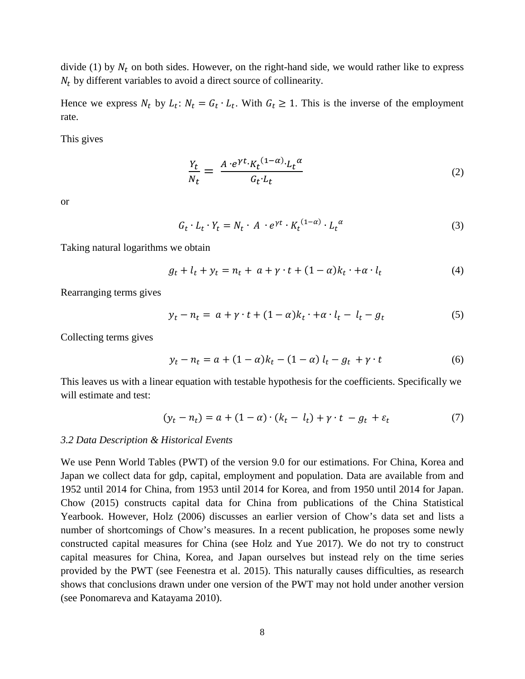divide (1) by  $N_t$  on both sides. However, on the right-hand side, we would rather like to express  $N_t$  by different variables to avoid a direct source of collinearity.

Hence we express  $N_t$  by  $L_t$ :  $N_t = G_t \cdot L_t$ . With  $G_t \ge 1$ . This is the inverse of the employment rate.

This gives

$$
\frac{Y_t}{N_t} = \frac{A \cdot e^{\gamma t} \cdot K_t^{(1-\alpha)} \cdot L_t^{\alpha}}{G_t \cdot L_t}
$$
\n<sup>(2)</sup>

or

$$
G_t \cdot L_t \cdot Y_t = N_t \cdot A \cdot e^{\gamma t} \cdot K_t^{(1-\alpha)} \cdot L_t^{\alpha} \tag{3}
$$

Taking natural logarithms we obtain

$$
g_t + l_t + y_t = n_t + a + \gamma \cdot t + (1 - \alpha)k_t \cdot + \alpha \cdot l_t \tag{4}
$$

Rearranging terms gives

$$
y_t - n_t = a + \gamma \cdot t + (1 - \alpha)k_t \cdot + \alpha \cdot l_t - l_t - g_t \tag{5}
$$

Collecting terms gives

$$
y_t - n_t = a + (1 - \alpha)k_t - (1 - \alpha)l_t - g_t + \gamma \cdot t
$$
 (6)

This leaves us with a linear equation with testable hypothesis for the coefficients. Specifically we will estimate and test:

$$
(y_t - n_t) = a + (1 - \alpha) \cdot (k_t - l_t) + \gamma \cdot t - g_t + \varepsilon_t \tag{7}
$$

#### *3.2 Data Description & Historical Events*

We use Penn World Tables (PWT) of the version 9.0 for our estimations. For China, Korea and Japan we collect data for gdp, capital, employment and population. Data are available from and 1952 until 2014 for China, from 1953 until 2014 for Korea, and from 1950 until 2014 for Japan. Chow (2015) constructs capital data for China from publications of the China Statistical Yearbook. However, Holz (2006) discusses an earlier version of Chow's data set and lists a number of shortcomings of Chow's measures. In a recent publication, he proposes some newly constructed capital measures for China (see Holz and Yue 2017). We do not try to construct capital measures for China, Korea, and Japan ourselves but instead rely on the time series provided by the PWT (see Feenestra et al. 2015). This naturally causes difficulties, as research shows that conclusions drawn under one version of the PWT may not hold under another version (see Ponomareva and Katayama 2010).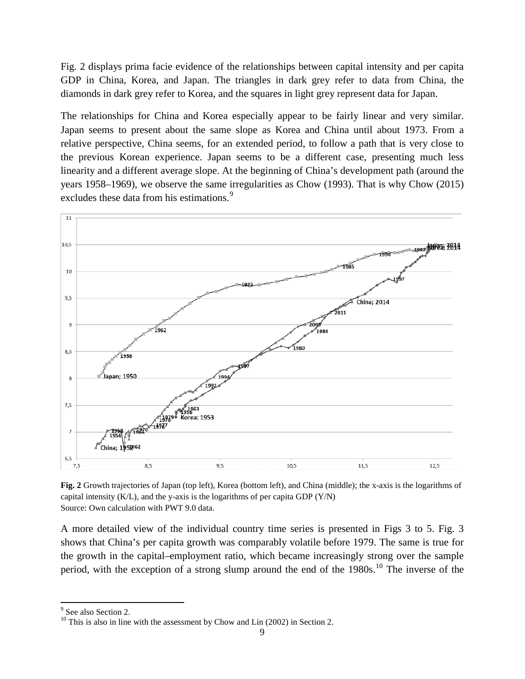Fig. 2 displays prima facie evidence of the relationships between capital intensity and per capita GDP in China, Korea, and Japan. The triangles in dark grey refer to data from China, the diamonds in dark grey refer to Korea, and the squares in light grey represent data for Japan.

The relationships for China and Korea especially appear to be fairly linear and very similar. Japan seems to present about the same slope as Korea and China until about 1973. From a relative perspective, China seems, for an extended period, to follow a path that is very close to the previous Korean experience. Japan seems to be a different case, presenting much less linearity and a different average slope. At the beginning of China's development path (around the years 1958–1969), we observe the same irregularities as Chow (1993). That is why Chow (2015) excludes these data from his estimations.<sup>[9](#page-9-0)</sup>



**Fig. 2** Growth trajectories of Japan (top left), Korea (bottom left), and China (middle); the x-axis is the logarithms of capital intensity (K/L), and the y-axis is the logarithms of per capita GDP  $(Y/N)$ Source: Own calculation with PWT 9.0 data.

A more detailed view of the individual country time series is presented in Figs 3 to 5. Fig. 3 shows that China's per capita growth was comparably volatile before 1979. The same is true for the growth in the capital–employment ratio, which became increasingly strong over the sample period, with the exception of a strong slump around the end of the 1980s.<sup>[10](#page-9-1)</sup> The inverse of the

 $\overline{a}$ 

<span id="page-9-0"></span><sup>&</sup>lt;sup>9</sup> See also Section 2.

<span id="page-9-1"></span><sup>&</sup>lt;sup>10</sup> This is also in line with the assessment by Chow and Lin (2002) in Section 2.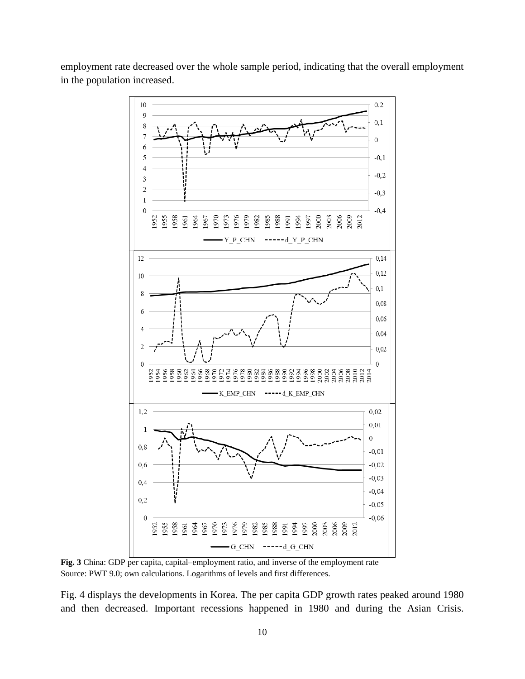

employment rate decreased over the whole sample period, indicating that the overall employment in the population increased.

**Fig. 3** China: GDP per capita, capital–employment ratio, and inverse of the employment rate Source: PWT 9.0; own calculations. Logarithms of levels and first differences.

Fig. 4 displays the developments in Korea. The per capita GDP growth rates peaked around 1980 and then decreased. Important recessions happened in 1980 and during the Asian Crisis.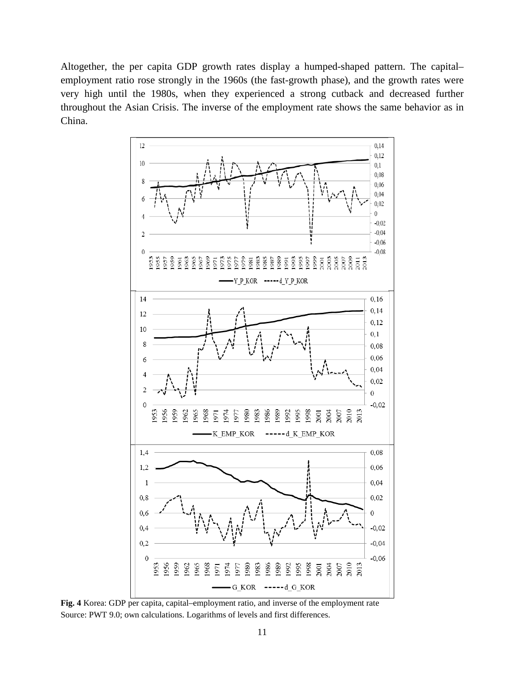Altogether, the per capita GDP growth rates display a humped-shaped pattern. The capital– employment ratio rose strongly in the 1960s (the fast-growth phase), and the growth rates were very high until the 1980s, when they experienced a strong cutback and decreased further throughout the Asian Crisis. The inverse of the employment rate shows the same behavior as in China.



**Fig. 4** Korea: GDP per capita, capital–employment ratio, and inverse of the employment rate Source: PWT 9.0; own calculations. Logarithms of levels and first differences.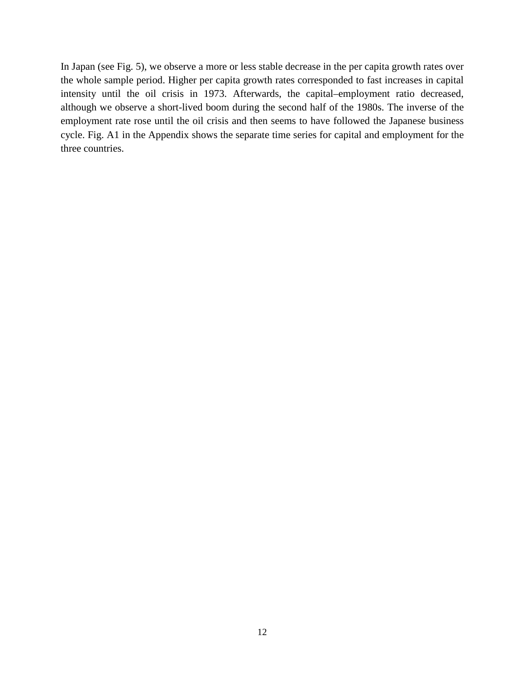In Japan (see Fig. 5), we observe a more or less stable decrease in the per capita growth rates over the whole sample period. Higher per capita growth rates corresponded to fast increases in capital intensity until the oil crisis in 1973. Afterwards, the capital–employment ratio decreased, although we observe a short-lived boom during the second half of the 1980s. The inverse of the employment rate rose until the oil crisis and then seems to have followed the Japanese business cycle. Fig. A1 in the Appendix shows the separate time series for capital and employment for the three countries.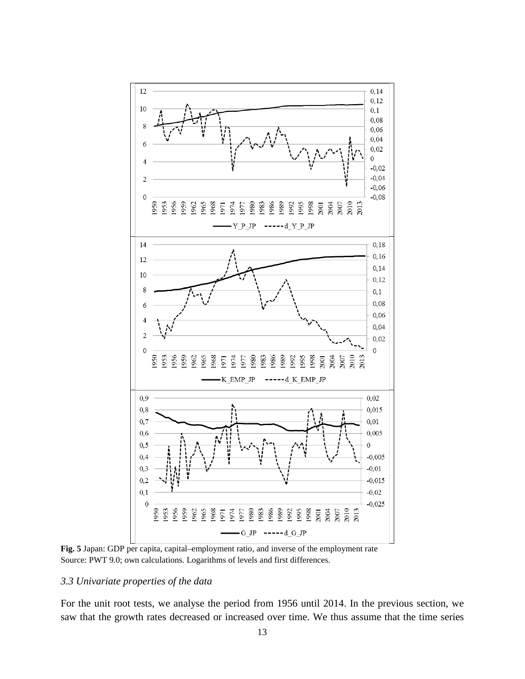

**Fig. 5** Japan: GDP per capita, capital–employment ratio, and inverse of the employment rate Source: PWT 9.0; own calculations. Logarithms of levels and first differences.

#### *3.3 Univariate properties of the data*

For the unit root tests, we analyse the period from 1956 until 2014. In the previous section, we saw that the growth rates decreased or increased over time. We thus assume that the time series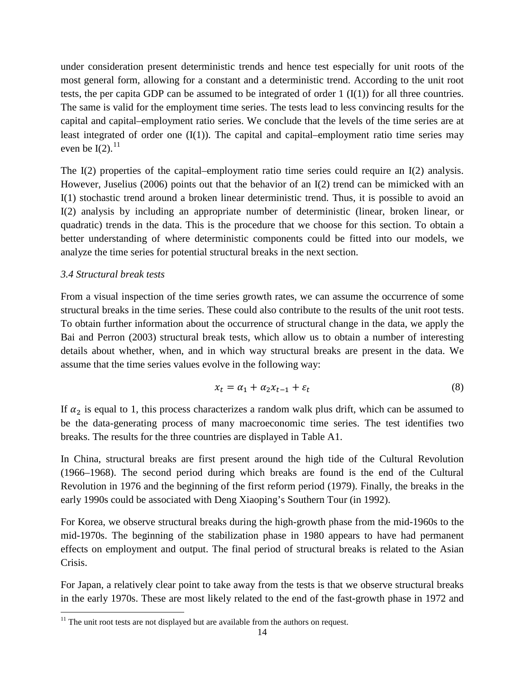under consideration present deterministic trends and hence test especially for unit roots of the most general form, allowing for a constant and a deterministic trend. According to the unit root tests, the per capita GDP can be assumed to be integrated of order  $1 (I(1))$  for all three countries. The same is valid for the employment time series. The tests lead to less convincing results for the capital and capital–employment ratio series. We conclude that the levels of the time series are at least integrated of order one  $(I(1))$ . The capital and capital–employment ratio time series may even be  $I(2)$ .<sup>[11](#page-14-0)</sup>

The I(2) properties of the capital–employment ratio time series could require an I(2) analysis. However, Juselius (2006) points out that the behavior of an I(2) trend can be mimicked with an I(1) stochastic trend around a broken linear deterministic trend. Thus, it is possible to avoid an I(2) analysis by including an appropriate number of deterministic (linear, broken linear, or quadratic) trends in the data. This is the procedure that we choose for this section. To obtain a better understanding of where deterministic components could be fitted into our models, we analyze the time series for potential structural breaks in the next section.

## *3.4 Structural break tests*

 $\overline{a}$ 

From a visual inspection of the time series growth rates, we can assume the occurrence of some structural breaks in the time series. These could also contribute to the results of the unit root tests. To obtain further information about the occurrence of structural change in the data, we apply the Bai and Perron (2003) structural break tests, which allow us to obtain a number of interesting details about whether, when, and in which way structural breaks are present in the data. We assume that the time series values evolve in the following way:

$$
x_t = \alpha_1 + \alpha_2 x_{t-1} + \varepsilon_t \tag{8}
$$

If  $\alpha_2$  is equal to 1, this process characterizes a random walk plus drift, which can be assumed to be the data-generating process of many macroeconomic time series. The test identifies two breaks. The results for the three countries are displayed in Table A1.

In China, structural breaks are first present around the high tide of the Cultural Revolution (1966–1968). The second period during which breaks are found is the end of the Cultural Revolution in 1976 and the beginning of the first reform period (1979). Finally, the breaks in the early 1990s could be associated with Deng Xiaoping's Southern Tour (in 1992).

For Korea, we observe structural breaks during the high-growth phase from the mid-1960s to the mid-1970s. The beginning of the stabilization phase in 1980 appears to have had permanent effects on employment and output. The final period of structural breaks is related to the Asian Crisis.

For Japan, a relatively clear point to take away from the tests is that we observe structural breaks in the early 1970s. These are most likely related to the end of the fast-growth phase in 1972 and

<span id="page-14-0"></span> $11$  The unit root tests are not displayed but are available from the authors on request.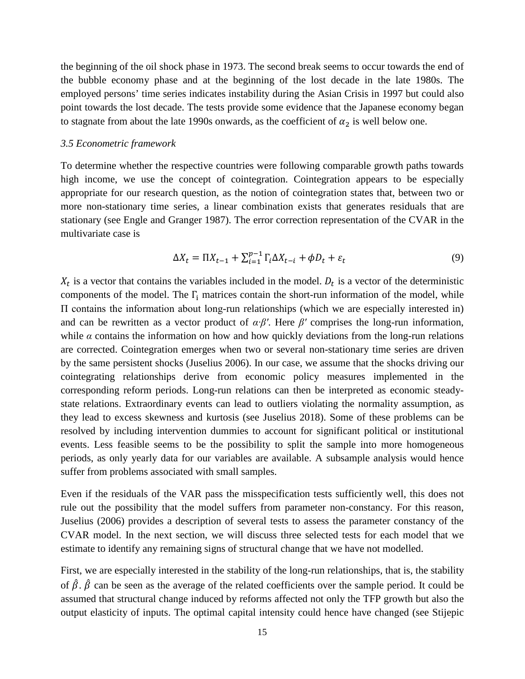the beginning of the oil shock phase in 1973. The second break seems to occur towards the end of the bubble economy phase and at the beginning of the lost decade in the late 1980s. The employed persons' time series indicates instability during the Asian Crisis in 1997 but could also point towards the lost decade. The tests provide some evidence that the Japanese economy began to stagnate from about the late 1990s onwards, as the coefficient of  $\alpha_2$  is well below one.

#### *3.5 Econometric framework*

To determine whether the respective countries were following comparable growth paths towards high income, we use the concept of cointegration. Cointegration appears to be especially appropriate for our research question, as the notion of cointegration states that, between two or more non-stationary time series, a linear combination exists that generates residuals that are stationary (see Engle and Granger 1987). The error correction representation of the CVAR in the multivariate case is

$$
\Delta X_t = \Pi X_{t-1} + \sum_{i=1}^{p-1} \Gamma_i \Delta X_{t-i} + \phi D_t + \varepsilon_t \tag{9}
$$

 $X_t$  is a vector that contains the variables included in the model.  $D_t$  is a vector of the deterministic components of the model. The  $\Gamma_i$  matrices contain the short-run information of the model, while Π contains the information about long-run relationships (which we are especially interested in) and can be rewritten as a vector product of  $\alpha \cdot \beta'$ . Here  $\beta'$  comprises the long-run information, while  $\alpha$  contains the information on how and how quickly deviations from the long-run relations are corrected. Cointegration emerges when two or several non-stationary time series are driven by the same persistent shocks (Juselius 2006). In our case, we assume that the shocks driving our cointegrating relationships derive from economic policy measures implemented in the corresponding reform periods. Long-run relations can then be interpreted as economic steadystate relations. Extraordinary events can lead to outliers violating the normality assumption, as they lead to excess skewness and kurtosis (see Juselius 2018). Some of these problems can be resolved by including intervention dummies to account for significant political or institutional events. Less feasible seems to be the possibility to split the sample into more homogeneous periods, as only yearly data for our variables are available. A subsample analysis would hence suffer from problems associated with small samples.

Even if the residuals of the VAR pass the misspecification tests sufficiently well, this does not rule out the possibility that the model suffers from parameter non-constancy. For this reason, Juselius (2006) provides a description of several tests to assess the parameter constancy of the CVAR model. In the next section, we will discuss three selected tests for each model that we estimate to identify any remaining signs of structural change that we have not modelled.

First, we are especially interested in the stability of the long-run relationships, that is, the stability of  $\hat{\beta}$ .  $\hat{\beta}$  can be seen as the average of the related coefficients over the sample period. It could be assumed that structural change induced by reforms affected not only the TFP growth but also the output elasticity of inputs. The optimal capital intensity could hence have changed (see Stijepic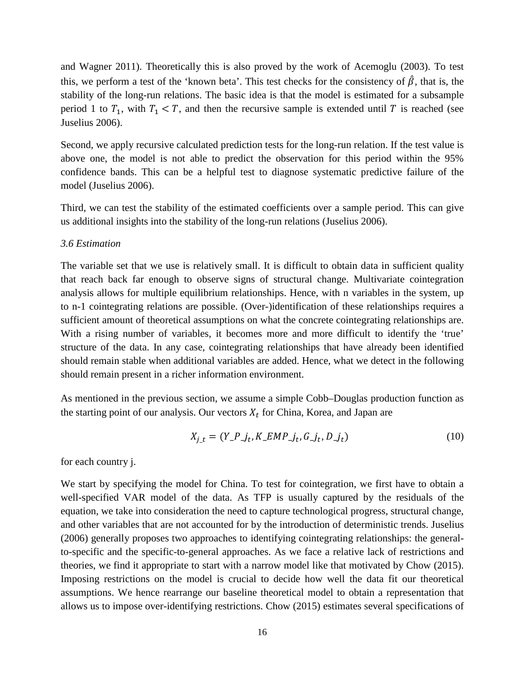and Wagner 2011). Theoretically this is also proved by the work of Acemoglu (2003). To test this, we perform a test of the 'known beta'. This test checks for the consistency of  $\hat{\beta}$ , that is, the stability of the long-run relations. The basic idea is that the model is estimated for a subsample period 1 to  $T_1$ , with  $T_1 < T$ , and then the recursive sample is extended until T is reached (see Juselius 2006).

Second, we apply recursive calculated prediction tests for the long-run relation. If the test value is above one, the model is not able to predict the observation for this period within the 95% confidence bands. This can be a helpful test to diagnose systematic predictive failure of the model (Juselius 2006).

Third, we can test the stability of the estimated coefficients over a sample period. This can give us additional insights into the stability of the long-run relations (Juselius 2006).

## *3.6 Estimation*

The variable set that we use is relatively small. It is difficult to obtain data in sufficient quality that reach back far enough to observe signs of structural change. Multivariate cointegration analysis allows for multiple equilibrium relationships. Hence, with n variables in the system, up to n-1 cointegrating relations are possible. (Over-)identification of these relationships requires a sufficient amount of theoretical assumptions on what the concrete cointegrating relationships are. With a rising number of variables, it becomes more and more difficult to identify the 'true' structure of the data. In any case, cointegrating relationships that have already been identified should remain stable when additional variables are added. Hence, what we detect in the following should remain present in a richer information environment.

As mentioned in the previous section, we assume a simple Cobb–Douglas production function as the starting point of our analysis. Our vectors  $X_t$  for China, Korea, and Japan are

$$
X_{j_t} = (Y_{-}P_{-}j_t, K_{-}EMP_{-}j_t, G_{-}j_t, D_{-}j_t)
$$
\n(10)

for each country j.

We start by specifying the model for China. To test for cointegration, we first have to obtain a well-specified VAR model of the data. As TFP is usually captured by the residuals of the equation, we take into consideration the need to capture technological progress, structural change, and other variables that are not accounted for by the introduction of deterministic trends. Juselius (2006) generally proposes two approaches to identifying cointegrating relationships: the generalto-specific and the specific-to-general approaches. As we face a relative lack of restrictions and theories, we find it appropriate to start with a narrow model like that motivated by Chow (2015). Imposing restrictions on the model is crucial to decide how well the data fit our theoretical assumptions. We hence rearrange our baseline theoretical model to obtain a representation that allows us to impose over-identifying restrictions. Chow (2015) estimates several specifications of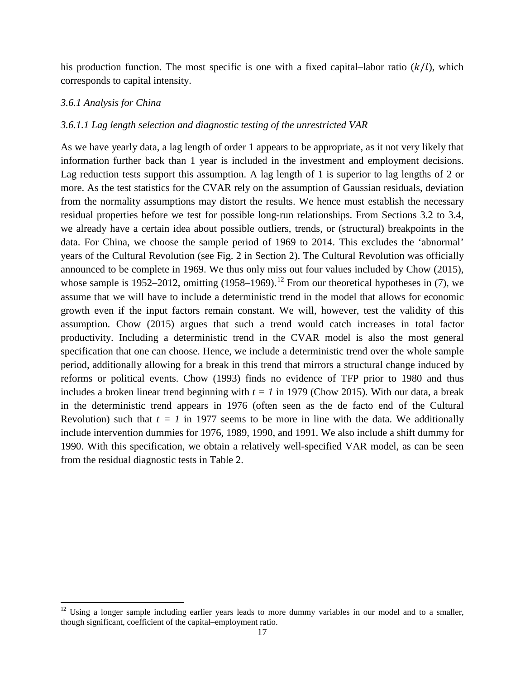his production function. The most specific is one with a fixed capital–labor ratio  $(k/l)$ , which corresponds to capital intensity.

#### *3.6.1 Analysis for China*

 $\overline{a}$ 

## *3.6.1.1 Lag length selection and diagnostic testing of the unrestricted VAR*

As we have yearly data, a lag length of order 1 appears to be appropriate, as it not very likely that information further back than 1 year is included in the investment and employment decisions. Lag reduction tests support this assumption. A lag length of 1 is superior to lag lengths of 2 or more. As the test statistics for the CVAR rely on the assumption of Gaussian residuals, deviation from the normality assumptions may distort the results. We hence must establish the necessary residual properties before we test for possible long-run relationships. From Sections 3.2 to 3.4, we already have a certain idea about possible outliers, trends, or (structural) breakpoints in the data. For China, we choose the sample period of 1969 to 2014. This excludes the 'abnormal' years of the Cultural Revolution (see Fig. 2 in Section 2). The Cultural Revolution was officially announced to be complete in 1969. We thus only miss out four values included by Chow (2015), whose sample is 1952–20[12](#page-17-0), omitting  $(1958–1969)$ .<sup>12</sup> From our theoretical hypotheses in (7), we assume that we will have to include a deterministic trend in the model that allows for economic growth even if the input factors remain constant. We will, however, test the validity of this assumption. Chow (2015) argues that such a trend would catch increases in total factor productivity. Including a deterministic trend in the CVAR model is also the most general specification that one can choose. Hence, we include a deterministic trend over the whole sample period, additionally allowing for a break in this trend that mirrors a structural change induced by reforms or political events. Chow (1993) finds no evidence of TFP prior to 1980 and thus includes a broken linear trend beginning with  $t = 1$  in 1979 (Chow 2015). With our data, a break in the deterministic trend appears in 1976 (often seen as the de facto end of the Cultural Revolution) such that  $t = 1$  in 1977 seems to be more in line with the data. We additionally include intervention dummies for 1976, 1989, 1990, and 1991. We also include a shift dummy for 1990. With this specification, we obtain a relatively well-specified VAR model, as can be seen from the residual diagnostic tests in Table 2.

<span id="page-17-0"></span> $12$  Using a longer sample including earlier years leads to more dummy variables in our model and to a smaller, though significant, coefficient of the capital–employment ratio.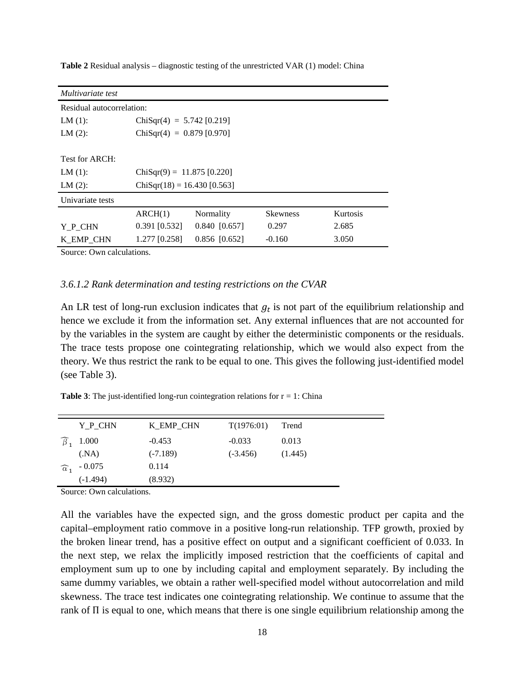| Multivariate test         |                               |                 |                 |          |  |
|---------------------------|-------------------------------|-----------------|-----------------|----------|--|
| Residual autocorrelation: |                               |                 |                 |          |  |
| LM(1):                    | $ChiSqr(4) = 5.742 [0.219]$   |                 |                 |          |  |
| $LM(2)$ :                 | $ChiSqr(4) = 0.879 [0.970]$   |                 |                 |          |  |
|                           |                               |                 |                 |          |  |
| Test for ARCH:            |                               |                 |                 |          |  |
| LM(1):                    | $ChiSqr(9) = 11.875 [0.220]$  |                 |                 |          |  |
| $LM(2)$ :                 | $ChiSqr(18) = 16.430 [0.563]$ |                 |                 |          |  |
| Univariate tests          |                               |                 |                 |          |  |
|                           | ARCH(1)                       | Normality       | <b>Skewness</b> | Kurtosis |  |
| Y P CHN                   | $0.391$ [0.532]               | $0.840$ [0.657] | 0.297           | 2.685    |  |
| K EMP CHN                 | 1.277 [0.258]                 | $0.856$ [0.652] | $-0.160$        | 3.050    |  |

**Table 2** Residual analysis – diagnostic testing of the unrestricted VAR (1) model: China

Source: Own calculations.

#### *3.6.1.2 Rank determination and testing restrictions on the CVAR*

An LR test of long-run exclusion indicates that  $g_t$  is not part of the equilibrium relationship and hence we exclude it from the information set. Any external influences that are not accounted for by the variables in the system are caught by either the deterministic components or the residuals. The trace tests propose one cointegrating relationship, which we would also expect from the theory. We thus restrict the rank to be equal to one. This gives the following just-identified model (see Table 3).

**Table 3**: The just-identified long-run cointegration relations for  $r = 1$ : China

|                     | Y_P_CHN                      | K_EMP_CHN  | T(1976:01) | Trend   |
|---------------------|------------------------------|------------|------------|---------|
| $\widehat{\beta}_1$ | 1.000                        | $-0.453$   | $-0.033$   | 0.013   |
|                     | (MA)                         | $(-7.189)$ | $(-3.456)$ | (1.445) |
|                     | $\widehat{\alpha}_1$ - 0.075 | 0.114      |            |         |
|                     | $(-1.494)$                   | (8.932)    |            |         |

Source: Own calculations.

All the variables have the expected sign, and the gross domestic product per capita and the capital–employment ratio commove in a positive long-run relationship. TFP growth, proxied by the broken linear trend, has a positive effect on output and a significant coefficient of 0.033. In the next step, we relax the implicitly imposed restriction that the coefficients of capital and employment sum up to one by including capital and employment separately. By including the same dummy variables, we obtain a rather well-specified model without autocorrelation and mild skewness. The trace test indicates one cointegrating relationship. We continue to assume that the rank of Π is equal to one, which means that there is one single equilibrium relationship among the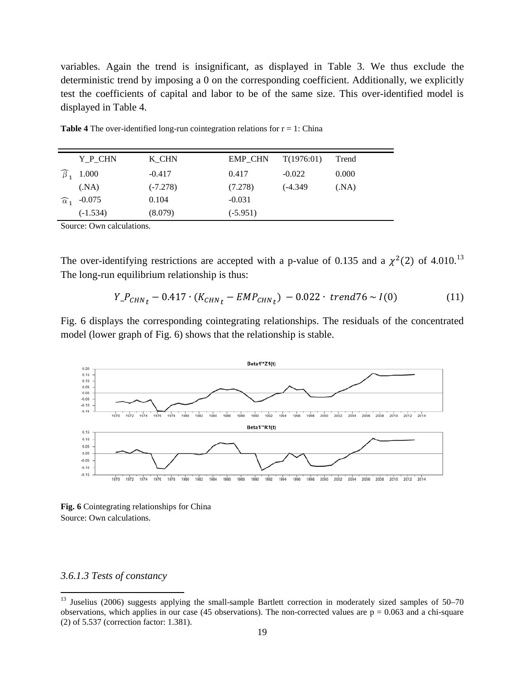variables. Again the trend is insignificant, as displayed in Table 3. We thus exclude the deterministic trend by imposing a 0 on the corresponding coefficient. Additionally, we explicitly test the coefficients of capital and labor to be of the same size. This over-identified model is displayed in Table 4.

|                      | Y_P_CHN    | K CHN      | <b>EMP CHN</b> | T(1976:01) | Trend |
|----------------------|------------|------------|----------------|------------|-------|
| $\widehat{\beta}_1$  | 1.000      | $-0.417$   | 0.417          | $-0.022$   | 0.000 |
|                      | (MA)       | $(-7.278)$ | (7.278)        | $(-4.349)$ | (MA)  |
| $\widehat{\alpha}_1$ | $-0.075$   | 0.104      | $-0.031$       |            |       |
|                      | $(-1.534)$ | (8.079)    | $(-5.951)$     |            |       |

**Table 4** The over-identified long-run cointegration relations for  $r = 1$ : China

Source: Own calculations.

The over-identifying restrictions are accepted with a p-value of 0.[13](#page-19-0)5 and a  $\chi^2$ (2) of 4.010.<sup>13</sup> The long-run equilibrium relationship is thus:

$$
Y_{-}P_{CHN_t} - 0.417 \cdot (K_{CHN_t} - EMP_{CHN_t}) - 0.022 \cdot trend76 \sim I(0)
$$
 (11)

Fig. 6 displays the corresponding cointegrating relationships. The residuals of the concentrated model (lower graph of Fig. 6) shows that the relationship is stable.



**Fig. 6** Cointegrating relationships for China Source: Own calculations.

*3.6.1.3 Tests of constancy*

 $\overline{a}$ 

<span id="page-19-0"></span><sup>&</sup>lt;sup>13</sup> Juselius (2006) suggests applying the small-sample Bartlett correction in moderately sized samples of 50–70 observations, which applies in our case (45 observations). The non-corrected values are  $p = 0.063$  and a chi-square (2) of 5.537 (correction factor: 1.381).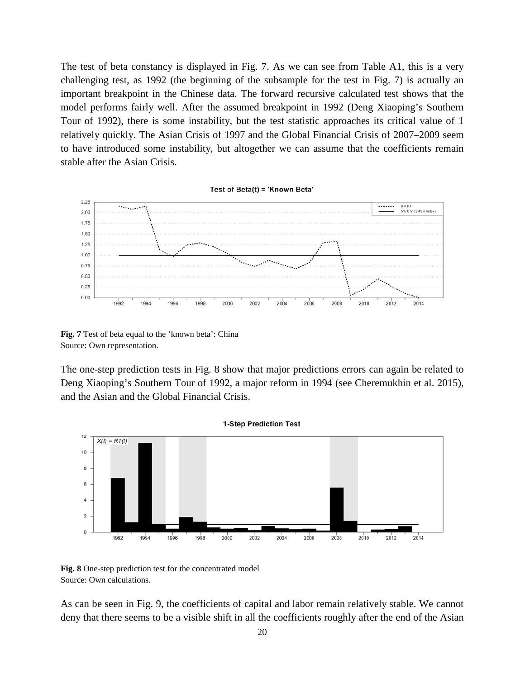The test of beta constancy is displayed in Fig. 7. As we can see from Table A1, this is a very challenging test, as 1992 (the beginning of the subsample for the test in Fig. 7) is actually an important breakpoint in the Chinese data. The forward recursive calculated test shows that the model performs fairly well. After the assumed breakpoint in 1992 (Deng Xiaoping's Southern Tour of 1992), there is some instability, but the test statistic approaches its critical value of 1 relatively quickly. The Asian Crisis of 1997 and the Global Financial Crisis of 2007–2009 seem to have introduced some instability, but altogether we can assume that the coefficients remain stable after the Asian Crisis.



**Fig. 7** Test of beta equal to the 'known beta': China Source: Own representation.

The one-step prediction tests in Fig. 8 show that major predictions errors can again be related to Deng Xiaoping's Southern Tour of 1992, a major reform in 1994 (see Cheremukhin et al. 2015), and the Asian and the Global Financial Crisis.



**Fig. 8** One-step prediction test for the concentrated model Source: Own calculations.

As can be seen in Fig. 9, the coefficients of capital and labor remain relatively stable. We cannot deny that there seems to be a visible shift in all the coefficients roughly after the end of the Asian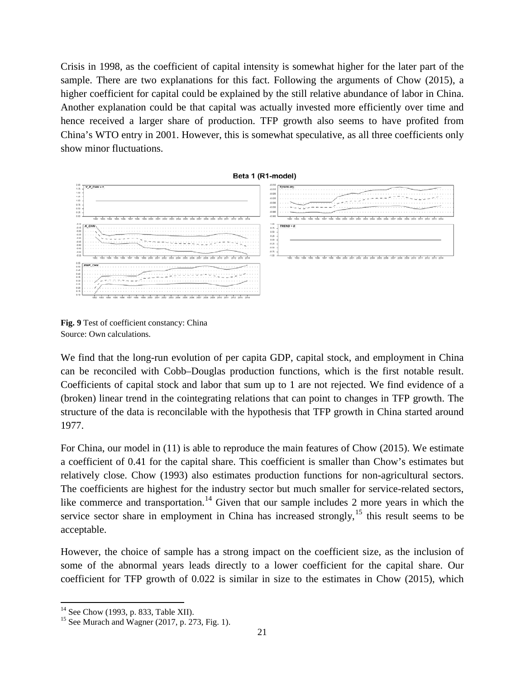Crisis in 1998, as the coefficient of capital intensity is somewhat higher for the later part of the sample. There are two explanations for this fact. Following the arguments of Chow (2015), a higher coefficient for capital could be explained by the still relative abundance of labor in China. Another explanation could be that capital was actually invested more efficiently over time and hence received a larger share of production. TFP growth also seems to have profited from China's WTO entry in 2001. However, this is somewhat speculative, as all three coefficients only show minor fluctuations.



**Fig. 9** Test of coefficient constancy: China Source: Own calculations.

We find that the long-run evolution of per capita GDP, capital stock, and employment in China can be reconciled with Cobb–Douglas production functions, which is the first notable result. Coefficients of capital stock and labor that sum up to 1 are not rejected. We find evidence of a (broken) linear trend in the cointegrating relations that can point to changes in TFP growth. The structure of the data is reconcilable with the hypothesis that TFP growth in China started around 1977.

For China, our model in (11) is able to reproduce the main features of Chow (2015). We estimate a coefficient of 0.41 for the capital share. This coefficient is smaller than Chow's estimates but relatively close. Chow (1993) also estimates production functions for non-agricultural sectors. The coefficients are highest for the industry sector but much smaller for service-related sectors, like commerce and transportation.<sup>[14](#page-21-0)</sup> Given that our sample includes 2 more years in which the service sector share in employment in China has increased strongly,<sup>[15](#page-21-1)</sup> this result seems to be acceptable.

However, the choice of sample has a strong impact on the coefficient size, as the inclusion of some of the abnormal years leads directly to a lower coefficient for the capital share. Our coefficient for TFP growth of 0.022 is similar in size to the estimates in Chow (2015), which

<span id="page-21-0"></span> $14$  See Chow (1993, p. 833, Table XII).

<span id="page-21-1"></span><sup>&</sup>lt;sup>15</sup> See Murach and Wagner (2017, p. 273, Fig. 1).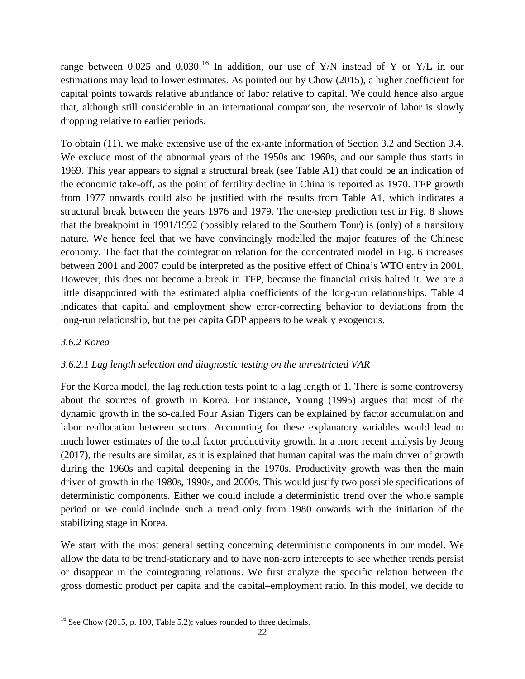range between 0.025 and 0.030.<sup>[16](#page-22-0)</sup> In addition, our use of Y/N instead of Y or Y/L in our estimations may lead to lower estimates. As pointed out by Chow (2015), a higher coefficient for capital points towards relative abundance of labor relative to capital. We could hence also argue that, although still considerable in an international comparison, the reservoir of labor is slowly dropping relative to earlier periods.

To obtain (11), we make extensive use of the ex-ante information of Section 3.2 and Section 3.4. We exclude most of the abnormal years of the 1950s and 1960s, and our sample thus starts in 1969. This year appears to signal a structural break (see Table A1) that could be an indication of the economic take-off, as the point of fertility decline in China is reported as 1970. TFP growth from 1977 onwards could also be justified with the results from Table A1, which indicates a structural break between the years 1976 and 1979. The one-step prediction test in Fig. 8 shows that the breakpoint in 1991/1992 (possibly related to the Southern Tour) is (only) of a transitory nature. We hence feel that we have convincingly modelled the major features of the Chinese economy. The fact that the cointegration relation for the concentrated model in Fig. 6 increases between 2001 and 2007 could be interpreted as the positive effect of China's WTO entry in 2001. However, this does not become a break in TFP, because the financial crisis halted it. We are a little disappointed with the estimated alpha coefficients of the long-run relationships. Table 4 indicates that capital and employment show error-correcting behavior to deviations from the long-run relationship, but the per capita GDP appears to be weakly exogenous.

## *3.6.2 Korea*

 $\overline{a}$ 

## *3.6.2.1 Lag length selection and diagnostic testing on the unrestricted VAR*

For the Korea model, the lag reduction tests point to a lag length of 1. There is some controversy about the sources of growth in Korea. For instance, Young (1995) argues that most of the dynamic growth in the so-called Four Asian Tigers can be explained by factor accumulation and labor reallocation between sectors. Accounting for these explanatory variables would lead to much lower estimates of the total factor productivity growth. In a more recent analysis by Jeong (2017), the results are similar, as it is explained that human capital was the main driver of growth during the 1960s and capital deepening in the 1970s. Productivity growth was then the main driver of growth in the 1980s, 1990s, and 2000s. This would justify two possible specifications of deterministic components. Either we could include a deterministic trend over the whole sample period or we could include such a trend only from 1980 onwards with the initiation of the stabilizing stage in Korea.

We start with the most general setting concerning deterministic components in our model. We allow the data to be trend-stationary and to have non-zero intercepts to see whether trends persist or disappear in the cointegrating relations. We first analyze the specific relation between the gross domestic product per capita and the capital–employment ratio. In this model, we decide to

<span id="page-22-0"></span><sup>&</sup>lt;sup>16</sup> See Chow (2015, p. 100, Table 5.2); values rounded to three decimals.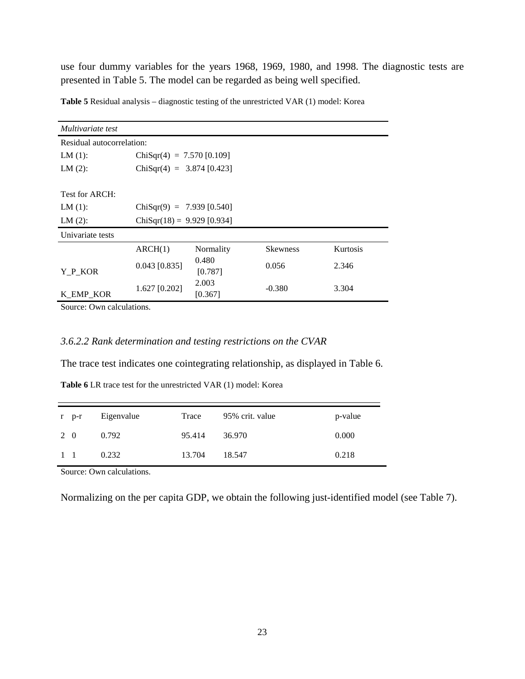use four dummy variables for the years 1968, 1969, 1980, and 1998. The diagnostic tests are presented in Table 5. The model can be regarded as being well specified.

| Multivariate test         |                              |                  |                 |                 |
|---------------------------|------------------------------|------------------|-----------------|-----------------|
| Residual autocorrelation: |                              |                  |                 |                 |
| LM(1):                    | $ChiSqr(4) = 7.570 [0.109]$  |                  |                 |                 |
| $LM(2)$ :                 | $ChiSqr(4) = 3.874 [0.423]$  |                  |                 |                 |
|                           |                              |                  |                 |                 |
| Test for ARCH:            |                              |                  |                 |                 |
| LM(1):                    | $ChiSqr(9) = 7.939 [0.540]$  |                  |                 |                 |
| $LM(2)$ :                 | $ChiSqr(18) = 9.929 [0.934]$ |                  |                 |                 |
| Univariate tests          |                              |                  |                 |                 |
|                           | ARCH(1)                      | Normality        | <b>Skewness</b> | <b>Kurtosis</b> |
| Y P KOR                   | $0.043$ [0.835]              | 0.480<br>[0.787] | 0.056           | 2.346           |
| K EMP KOR                 | $1.627$ [0.202]              | 2.003<br>[0.367] | $-0.380$        | 3.304           |

**Table 5** Residual analysis – diagnostic testing of the unrestricted VAR (1) model: Korea

Source: Own calculations.

#### *3.6.2.2 Rank determination and testing restrictions on the CVAR*

The trace test indicates one cointegrating relationship, as displayed in Table 6.

**Table 6** LR trace test for the unrestricted VAR (1) model: Korea

|          | $r$ $p-r$ | Eigenvalue | Trace  | 95% crit. value | p-value |
|----------|-----------|------------|--------|-----------------|---------|
| 2 0      |           | 0.792      | 95.414 | 36.970          | 0.000   |
| $1 \; 1$ |           | 0.232      | 13.704 | 18.547          | 0.218   |

Source: Own calculations.

Normalizing on the per capita GDP, we obtain the following just-identified model (see Table 7).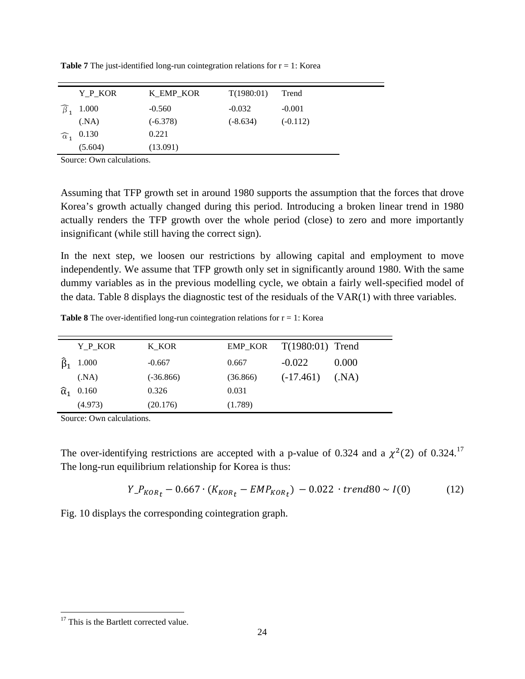| Y_P_KOR                    | K_EMP_KOR  | T(1980:01) | Trend      |
|----------------------------|------------|------------|------------|
| 1.000                      | $-0.560$   | $-0.032$   | $-0.001$   |
| (MA)                       | $(-6.378)$ | $(-8.634)$ | $(-0.112)$ |
| $\widehat{\alpha}_1$ 0.130 | 0.221      |            |            |
| (5.604)                    | (13.091)   |            |            |

**Table 7** The just-identified long-run cointegration relations for  $r = 1$ : Korea

Source: Own calculations.

Assuming that TFP growth set in around 1980 supports the assumption that the forces that drove Korea's growth actually changed during this period. Introducing a broken linear trend in 1980 actually renders the TFP growth over the whole period (close) to zero and more importantly insignificant (while still having the correct sign).

In the next step, we loosen our restrictions by allowing capital and employment to move independently. We assume that TFP growth only set in significantly around 1980. With the same dummy variables as in the previous modelling cycle, we obtain a fairly well-specified model of the data. Table 8 displays the diagnostic test of the residuals of the VAR(1) with three variables.

**Table 8** The over-identified long-run cointegration relations for  $r = 1$ : Korea

|                      | Y_P_KOR | K_KOR       | <b>EMP_KOR</b> | $T(1980:01)$ Trend |       |
|----------------------|---------|-------------|----------------|--------------------|-------|
|                      | 1.000   | $-0.667$    | 0.667          | $-0.022$           | 0.000 |
|                      | (MA)    | $(-36.866)$ | (36.866)       | $(-17.461)$        | (MA)  |
| $\widehat{\alpha}_1$ | 0.160   | 0.326       | 0.031          |                    |       |
|                      | (4.973) | (20.176)    | (1.789)        |                    |       |

Source: Own calculations.

The over-identifying restrictions are accepted with a p-value of 0.324 and a  $\chi^2(2)$  of 0.324.<sup>[17](#page-24-0)</sup> The long-run equilibrium relationship for Korea is thus:

$$
Y_{-}P_{KOR_{t}} - 0.667 \cdot (K_{KOR_{t}} - EMP_{KOR_{t}}) - 0.022 \cdot trend80 \sim I(0)
$$
 (12)

Fig. 10 displays the corresponding cointegration graph.

 $\overline{a}$ 

<span id="page-24-0"></span><sup>&</sup>lt;sup>17</sup> This is the Bartlett corrected value.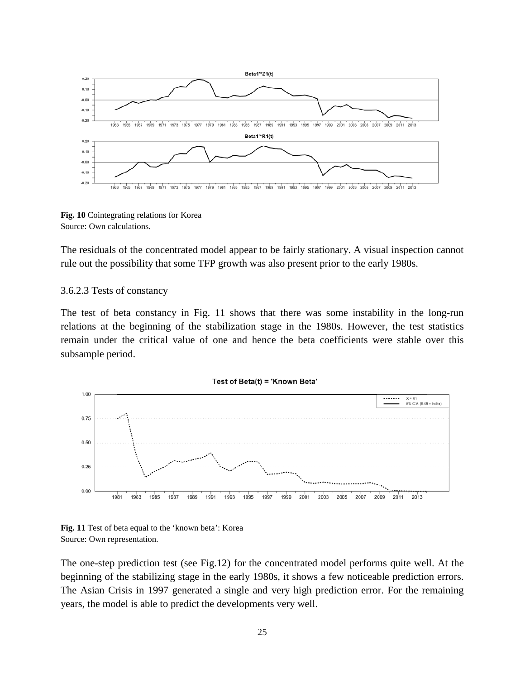

**Fig. 10** Cointegrating relations for Korea Source: Own calculations.

The residuals of the concentrated model appear to be fairly stationary. A visual inspection cannot rule out the possibility that some TFP growth was also present prior to the early 1980s.

#### 3.6.2.3 Tests of constancy

The test of beta constancy in Fig. 11 shows that there was some instability in the long-run relations at the beginning of the stabilization stage in the 1980s. However, the test statistics remain under the critical value of one and hence the beta coefficients were stable over this subsample period.





The one-step prediction test (see Fig.12) for the concentrated model performs quite well. At the beginning of the stabilizing stage in the early 1980s, it shows a few noticeable prediction errors. The Asian Crisis in 1997 generated a single and very high prediction error. For the remaining years, the model is able to predict the developments very well.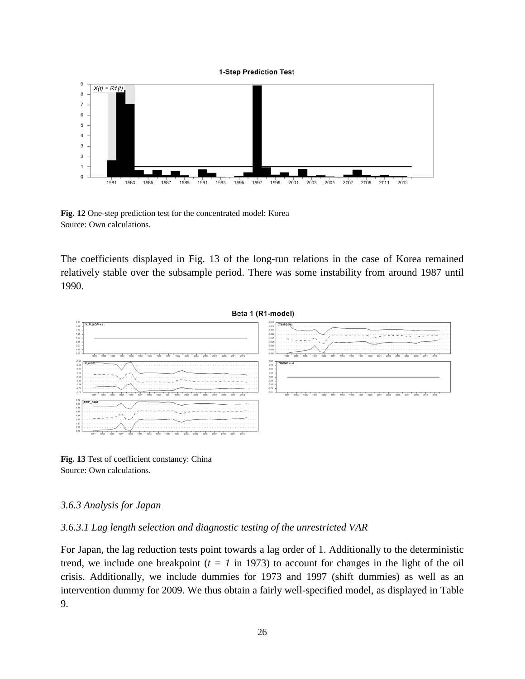

**Fig. 12** One-step prediction test for the concentrated model: Korea Source: Own calculations.

The coefficients displayed in Fig. 13 of the long-run relations in the case of Korea remained relatively stable over the subsample period. There was some instability from around 1987 until 1990.



**Fig. 13** Test of coefficient constancy: China Source: Own calculations.

#### *3.6.3 Analysis for Japan*

#### *3.6.3.1 Lag length selection and diagnostic testing of the unrestricted VAR*

For Japan, the lag reduction tests point towards a lag order of 1. Additionally to the deterministic trend, we include one breakpoint  $(t = 1$  in 1973) to account for changes in the light of the oil crisis. Additionally, we include dummies for 1973 and 1997 (shift dummies) as well as an intervention dummy for 2009. We thus obtain a fairly well-specified model, as displayed in Table 9.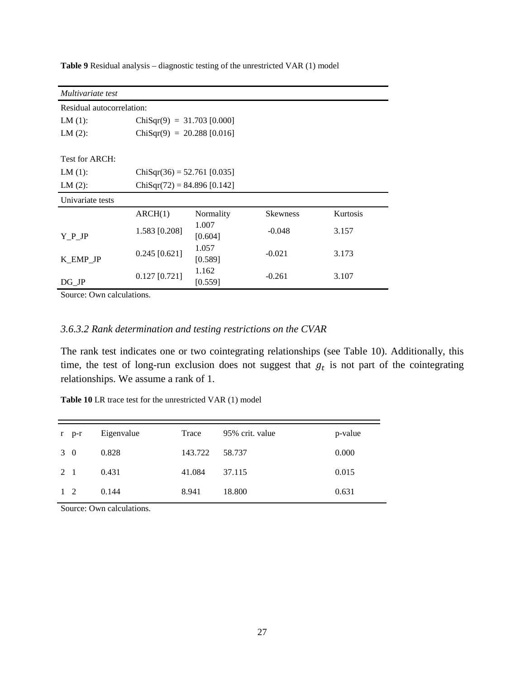| Multivariate test         |                               |                  |                 |          |  |
|---------------------------|-------------------------------|------------------|-----------------|----------|--|
| Residual autocorrelation: |                               |                  |                 |          |  |
| LM(1):                    | $ChiSqr(9) = 31.703 [0.000]$  |                  |                 |          |  |
| $LM(2)$ :                 | $ChiSqr(9) = 20.288 [0.016]$  |                  |                 |          |  |
|                           |                               |                  |                 |          |  |
| Test for ARCH:            |                               |                  |                 |          |  |
| LM(1):                    | $ChiSqr(36) = 52.761 [0.035]$ |                  |                 |          |  |
| LM(2):                    | $ChiSqr(72) = 84.896 [0.142]$ |                  |                 |          |  |
| Univariate tests          |                               |                  |                 |          |  |
|                           | ARCH(1)                       | Normality        | <b>Skewness</b> | Kurtosis |  |
| Y P JP                    | 1.583 [0.208]                 | 1.007<br>[0.604] | $-0.048$        | 3.157    |  |
| K_EMP_JP                  | $0.245$ [0.621]               | 1.057<br>[0.589] | $-0.021$        | 3.173    |  |
| $DG$ <sub>_</sub> JP      | $0.127$ [0.721]               | 1.162<br>[0.559] | $-0.261$        | 3.107    |  |

**Table 9** Residual analysis – diagnostic testing of the unrestricted VAR (1) model

Source: Own calculations.

#### *3.6.3.2 Rank determination and testing restrictions on the CVAR*

The rank test indicates one or two cointegrating relationships (see Table 10). Additionally, this time, the test of long-run exclusion does not suggest that  $g_t$  is not part of the cointegrating relationships. We assume a rank of 1.

**Table 10** LR trace test for the unrestricted VAR (1) model

|              | $r$ $p-r$ | Eigenvalue | Trace   | 95% crit. value | p-value |
|--------------|-----------|------------|---------|-----------------|---------|
| 3 0          |           | 0.828      | 143.722 | 58.737          | 0.000   |
| 2 1          |           | 0.431      | 41.084  | 37.115          | 0.015   |
| $\mathbf{1}$ | 2         | 0.144      | 8.941   | 18.800          | 0.631   |

Source: Own calculations.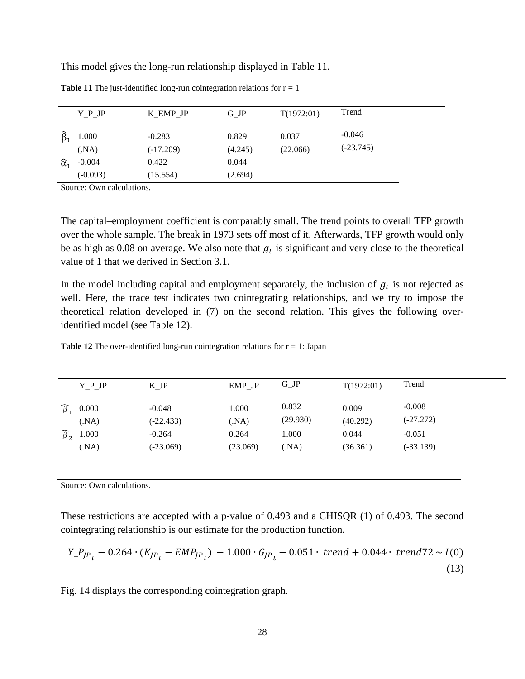This model gives the long-run relationship displayed in Table 11.

|                      | $Y_P$ JP      | K_EMP_JP                | $G$ <sub>IP</sub> | T(1972:01)        | Trend                   |
|----------------------|---------------|-------------------------|-------------------|-------------------|-------------------------|
|                      | 1.000<br>(MA) | $-0.283$<br>$(-17.209)$ | 0.829<br>(4.245)  | 0.037<br>(22.066) | $-0.046$<br>$(-23.745)$ |
| $\widehat{\alpha}_1$ | $-0.004$      | 0.422                   | 0.044             |                   |                         |
|                      | $(-0.093)$    | (15.554)                | (2.694)           |                   |                         |

**Table 11** The just-identified long-run cointegration relations for  $r = 1$ 

Source: Own calculations.

The capital–employment coefficient is comparably small. The trend points to overall TFP growth over the whole sample. The break in 1973 sets off most of it. Afterwards, TFP growth would only be as high as 0.08 on average. We also note that  $g_t$  is significant and very close to the theoretical value of 1 that we derived in Section 3.1.

In the model including capital and employment separately, the inclusion of  $g_t$  is not rejected as well. Here, the trace test indicates two cointegrating relationships, and we try to impose the theoretical relation developed in (7) on the second relation. This gives the following overidentified model (see Table 12).

| <b>Table 12</b> The over-identified long-run cointegration relations for $r = 1$ : Japan |  |  |
|------------------------------------------------------------------------------------------|--|--|
|------------------------------------------------------------------------------------------|--|--|

|                     | $Y_P$ JP | $K$ <sub>_JP</sub> | EMP JP   | $G$ <sub>-JP</sub> | T(1972:01) | Trend       |
|---------------------|----------|--------------------|----------|--------------------|------------|-------------|
| $\widehat{\beta}_1$ | 0.000    | $-0.048$           | 1.000    | 0.832              | 0.009      | $-0.008$    |
|                     | (MA)     | $(-22.433)$        | (MA)     | (29.930)           | (40.292)   | $(-27.272)$ |
|                     | 1.000    | $-0.264$           | 0.264    | 1.000              | 0.044      | $-0.051$    |
|                     | (MA)     | $(-23.069)$        | (23.069) | (MA)               | (36.361)   | $(-33.139)$ |

Source: Own calculations.

These restrictions are accepted with a p-value of 0.493 and a CHISQR (1) of 0.493. The second cointegrating relationship is our estimate for the production function.

$$
Y_{-}P_{JP_{t}} - 0.264 \cdot (K_{JP_{t}} - EMP_{JP_{t}}) - 1.000 \cdot G_{JP_{t}} - 0.051 \cdot trend + 0.044 \cdot trend72 \sim I(0)
$$
\n(13)

Fig. 14 displays the corresponding cointegration graph.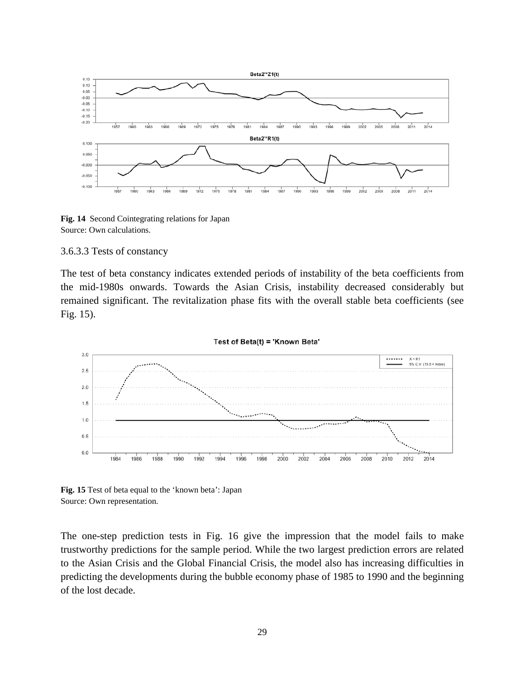

**Fig. 14** Second Cointegrating relations for Japan Source: Own calculations.

#### 3.6.3.3 Tests of constancy

The test of beta constancy indicates extended periods of instability of the beta coefficients from the mid-1980s onwards. Towards the Asian Crisis, instability decreased considerably but remained significant. The revitalization phase fits with the overall stable beta coefficients (see Fig. 15).



**Fig. 15** Test of beta equal to the 'known beta': Japan Source: Own representation.

The one-step prediction tests in Fig. 16 give the impression that the model fails to make trustworthy predictions for the sample period. While the two largest prediction errors are related to the Asian Crisis and the Global Financial Crisis, the model also has increasing difficulties in predicting the developments during the bubble economy phase of 1985 to 1990 and the beginning of the lost decade.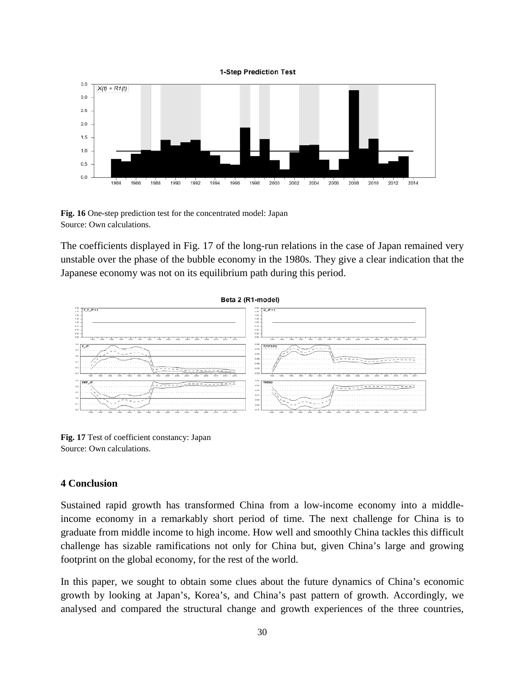

**Fig. 16** One-step prediction test for the concentrated model: Japan Source: Own calculations.

The coefficients displayed in Fig. 17 of the long-run relations in the case of Japan remained very unstable over the phase of the bubble economy in the 1980s. They give a clear indication that the Japanese economy was not on its equilibrium path during this period.



**Fig. 17** Test of coefficient constancy: Japan Source: Own calculations.

#### **4 Conclusion**

Sustained rapid growth has transformed China from a low-income economy into a middleincome economy in a remarkably short period of time. The next challenge for China is to graduate from middle income to high income. How well and smoothly China tackles this difficult challenge has sizable ramifications not only for China but, given China's large and growing footprint on the global economy, for the rest of the world.

In this paper, we sought to obtain some clues about the future dynamics of China's economic growth by looking at Japan's, Korea's, and China's past pattern of growth. Accordingly, we analysed and compared the structural change and growth experiences of the three countries,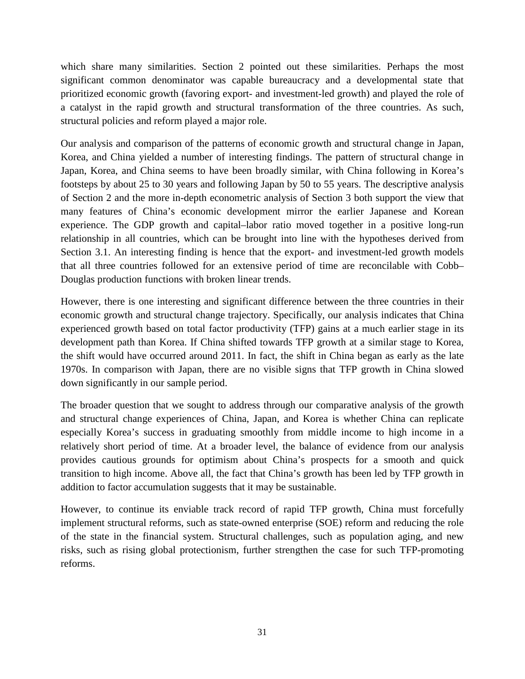which share many similarities. Section 2 pointed out these similarities. Perhaps the most significant common denominator was capable bureaucracy and a developmental state that prioritized economic growth (favoring export- and investment-led growth) and played the role of a catalyst in the rapid growth and structural transformation of the three countries. As such, structural policies and reform played a major role.

Our analysis and comparison of the patterns of economic growth and structural change in Japan, Korea, and China yielded a number of interesting findings. The pattern of structural change in Japan, Korea, and China seems to have been broadly similar, with China following in Korea's footsteps by about 25 to 30 years and following Japan by 50 to 55 years. The descriptive analysis of Section 2 and the more in-depth econometric analysis of Section 3 both support the view that many features of China's economic development mirror the earlier Japanese and Korean experience. The GDP growth and capital–labor ratio moved together in a positive long-run relationship in all countries, which can be brought into line with the hypotheses derived from Section 3.1. An interesting finding is hence that the export- and investment-led growth models that all three countries followed for an extensive period of time are reconcilable with Cobb– Douglas production functions with broken linear trends.

However, there is one interesting and significant difference between the three countries in their economic growth and structural change trajectory. Specifically, our analysis indicates that China experienced growth based on total factor productivity (TFP) gains at a much earlier stage in its development path than Korea. If China shifted towards TFP growth at a similar stage to Korea, the shift would have occurred around 2011. In fact, the shift in China began as early as the late 1970s. In comparison with Japan, there are no visible signs that TFP growth in China slowed down significantly in our sample period.

The broader question that we sought to address through our comparative analysis of the growth and structural change experiences of China, Japan, and Korea is whether China can replicate especially Korea's success in graduating smoothly from middle income to high income in a relatively short period of time. At a broader level, the balance of evidence from our analysis provides cautious grounds for optimism about China's prospects for a smooth and quick transition to high income. Above all, the fact that China's growth has been led by TFP growth in addition to factor accumulation suggests that it may be sustainable.

However, to continue its enviable track record of rapid TFP growth, China must forcefully implement structural reforms, such as state-owned enterprise (SOE) reform and reducing the role of the state in the financial system. Structural challenges, such as population aging, and new risks, such as rising global protectionism, further strengthen the case for such TFP-promoting reforms.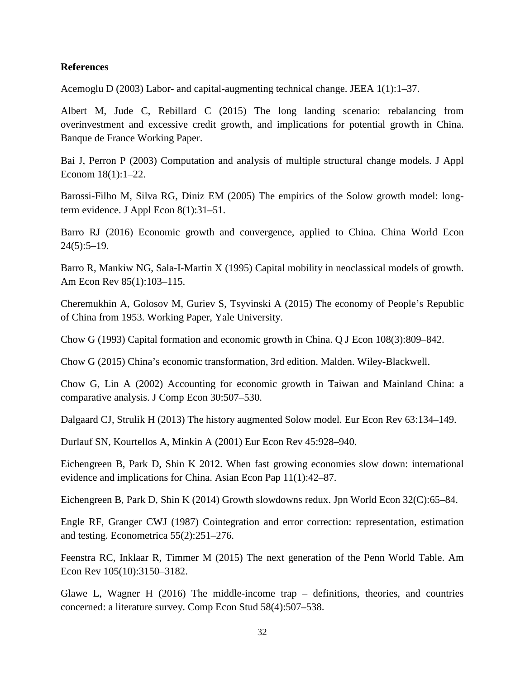#### **References**

Acemoglu D (2003) Labor- and capital-augmenting technical change. JEEA 1(1):1–37.

Albert M, Jude C, Rebillard C (2015) The long landing scenario: rebalancing from overinvestment and excessive credit growth, and implications for potential growth in China. Banque de France Working Paper.

Bai J, Perron P (2003) Computation and analysis of multiple structural change models. J Appl Econom 18(1):1–22.

Barossi-Filho M, Silva RG, Diniz EM (2005) The empirics of the Solow growth model: longterm evidence. J Appl Econ 8(1):31–51.

Barro RJ (2016) Economic growth and convergence, applied to China. China World Econ  $24(5):5-19.$ 

Barro R, Mankiw NG, Sala-I-Martin X (1995) Capital mobility in neoclassical models of growth. Am Econ Rev 85(1):103–115.

Cheremukhin A, Golosov M, Guriev S, Tsyvinski A (2015) The economy of People's Republic of China from 1953. Working Paper, Yale University.

Chow G (1993) Capital formation and economic growth in China. Q J Econ 108(3):809–842.

Chow G (2015) China's economic transformation, 3rd edition. Malden. Wiley-Blackwell.

Chow G, Lin A (2002) Accounting for economic growth in Taiwan and Mainland China: a comparative analysis. J Comp Econ 30:507–530.

Dalgaard CJ, Strulik H (2013) The history augmented Solow model. Eur Econ Rev 63:134–149.

Durlauf SN, Kourtellos A, Minkin A (2001) Eur Econ Rev 45:928–940.

Eichengreen B, Park D, Shin K 2012. When fast growing economies slow down: international evidence and implications for China. Asian Econ Pap 11(1):42–87.

Eichengreen B, Park D, Shin K (2014) Growth slowdowns redux. Jpn World Econ 32(C):65–84.

Engle RF, Granger CWJ (1987) Cointegration and error correction: representation, estimation and testing. Econometrica 55(2):251–276.

Feenstra RC, Inklaar R, Timmer M (2015) The next generation of the Penn World Table. Am Econ Rev 105(10):3150–3182.

Glawe L, Wagner H (2016) The middle-income trap – definitions, theories, and countries concerned: a literature survey. Comp Econ Stud 58(4):507–538.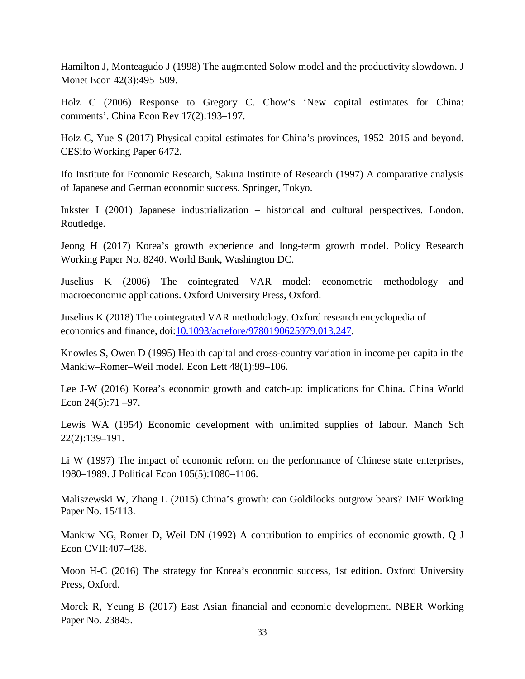Hamilton J, Monteagudo J (1998) The augmented Solow model and the productivity slowdown. J Monet Econ 42(3):495–509.

Holz C (2006) Response to Gregory C. Chow's 'New capital estimates for China: comments'. China Econ Rev 17(2):193–197.

Holz C, Yue S (2017) Physical capital estimates for China's provinces, 1952–2015 and beyond. CESifo Working Paper 6472.

Ifo Institute for Economic Research, Sakura Institute of Research (1997) A comparative analysis of Japanese and German economic success. Springer, Tokyo.

Inkster I (2001) Japanese industrialization – historical and cultural perspectives. London. Routledge.

Jeong H (2017) Korea's growth experience and long-term growth model. Policy Research Working Paper No. 8240. World Bank, Washington DC.

Juselius K (2006) The cointegrated VAR model: econometric methodology and macroeconomic applications. Oxford University Press, Oxford.

Juselius K (2018) The cointegrated VAR methodology. Oxford research encyclopedia of economics and finance, doi[:10.1093/acrefore/9780190625979.013.247.](https://dx.doi.org/10.1093/acrefore/9780190625979.013.247)

Knowles S, Owen D (1995) Health capital and cross-country variation in income per capita in the Mankiw–Romer–Weil model. Econ Lett 48(1):99–106.

Lee J-W (2016) Korea's economic growth and catch-up: implications for China. China World Econ 24(5):71 –97.

Lewis WA (1954) Economic development with unlimited supplies of labour. Manch Sch 22(2):139–191.

Li W (1997) The impact of economic reform on the performance of Chinese state enterprises, 1980–1989. J Political Econ 105(5):1080–1106.

[Maliszewski](https://www.imf.org/en/Publications/Publications-By-Author?author=Wojciech++Maliszewski&name=Wojciech%20%20Maliszewski) W, [Zhang](https://www.imf.org/en/Publications/Publications-By-Author?author=Longmei++Zhang&name=Longmei%20%20Zhang) L (2015) China's growth: can Goldilocks outgrow bears? IMF Working Paper No. 15/113.

Mankiw NG, Romer D, Weil DN (1992) A contribution to empirics of economic growth. Q J Econ CVII:407–438.

Moon H-C (2016) The strategy for Korea's economic success, 1st edition. Oxford University Press, Oxford.

Morck R, Yeung B (2017) East Asian financial and economic development. NBER Working Paper No. 23845.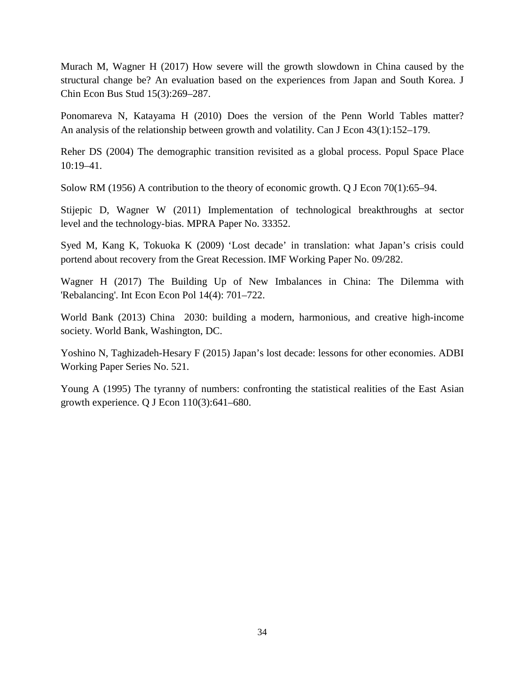Murach M, Wagner H (2017) How severe will the growth slowdown in China caused by the structural change be? An evaluation based on the experiences from Japan and South Korea. J Chin Econ Bus Stud 15(3):269–287.

Ponomareva N, Katayama H (2010) Does the version of the Penn World Tables matter? An analysis of the relationship between growth and volatility. Can J Econ 43(1):152–179.

Reher DS (2004) The demographic transition revisited as a global process. Popul Space Place 10:19–41.

Solow RM (1956) A contribution to the theory of economic growth. Q J Econ 70(1):65–94.

Stijepic D, Wagner W (2011) Implementation of technological breakthroughs at sector level and the technology-bias. MPRA Paper No. 33352.

Syed M, Kang K, Tokuoka K (2009) 'Lost decade' in translation: what Japan's crisis could portend about recovery from the Great Recession. IMF Working Paper No. 09/282.

Wagner H (2017) The Building Up of New Imbalances in China: The Dilemma with 'Rebalancing'. Int Econ Econ Pol 14(4): 701–722.

World Bank (2013) China 2030: building a modern, harmonious, and creative high-income society. World Bank, Washington, DC.

Yoshino N, Taghizadeh-Hesary F (2015) Japan's lost decade: lessons for other economies. ADBI Working Paper Series No. 521.

Young A (1995) The tyranny of numbers: confronting the statistical realities of the East Asian growth experience. Q J Econ 110(3):641–680.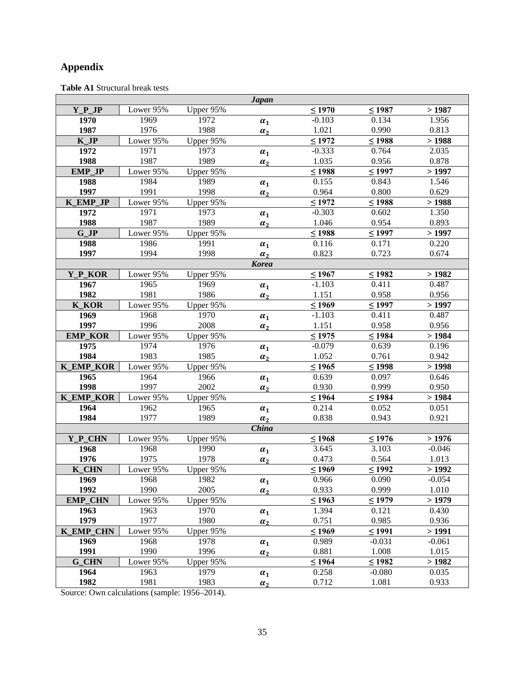# **Appendix**

|                   |                   |                   | <b>Japan</b> |                                   |                      |                   |
|-------------------|-------------------|-------------------|--------------|-----------------------------------|----------------------|-------------------|
| Y P JP            | Lower 95%         | Upper 95%         |              | $\leq 1970$                       | $\leq$ 1987          | >1987             |
| 1970              | 1969              | 1972              | $\alpha_1$   | $-0.103$                          | 0.134                | 1.956             |
| 1987              | 1976              | 1988              | $\alpha_2$   | 1.021                             | 0.990                | 0.813             |
| $K$ <sup>JP</sup> | Lower 95%         | Upper $95\%$      |              | $\leq$ 1972                       | $\leq$ 1988          | >1988             |
| 1972              | 1971              | 1973              | $\alpha_1$   | $-0.333$                          | 0.764                | 2.035             |
| 1988              | 1987              | 1989              | $\alpha_2$   | 1.035                             | 0.956                | 0.878             |
| <b>EMP JP</b>     | Lower 95%         | Upper 95%         |              | $\leq$ 1988                       | $\leq$ 1997          | >1997             |
| 1988              | 1984              | 1989              | $\alpha_1$   | 0.155                             | 0.843                | 1.546             |
| 1997              | 1991              | 1998              | $\alpha_2$   | 0.964                             | 0.800                | 0.629             |
| <b>K_EMP_JP</b>   | Lower 95%         | Upper 95%         |              | $\leq$ 1972                       | $\leq 1988$          | >1988             |
| 1972              | 1971              | 1973              | $\alpha_1$   | $-0.303$                          | 0.602                | 1.350             |
| 1988              | 1987              | 1989              | $\alpha_2$   | 1.046                             | 0.954                | 0.893             |
| G JP              | Lower 95%         | Upper 95%         |              | $\leq$ 1988                       | $\leq$ 1997          | >1997             |
| 1988              | 1986              | 1991              | $\alpha_1$   | 0.116                             | 0.171                | 0.220             |
| 1997              | 1994              | 1998              | $\alpha_2$   | 0.823                             | 0.723                | 0.674             |
|                   |                   |                   | <b>Korea</b> |                                   |                      |                   |
| Y_P_KOR           | Lower 95%         | Upper 95%         |              | $\leq$ 1967                       | $\leq$ 1982          | >1982             |
| 1967              | 1965              | 1969              | $\alpha_1$   | $-1.103$                          | 0.411                | 0.487             |
| 1982              | 1981              | 1986              | $\alpha_2$   | 1.151                             | 0.958                | 0.956             |
| <b>K KOR</b>      | Lower 95%         | Upper 95%         |              | $\leq 1969$                       | $\leq$ 1997          | >1997             |
| 1969              | 1968              | 1970              | $\alpha_1$   | $-1.103$                          | 0.411                | 0.487             |
| 1997              | 1996              | 2008              | $\alpha_2$   | 1.151                             | 0.958                | 0.956             |
| <b>EMP KOR</b>    | Lower 95%         | Upper 95%         |              | $\leq$ 1975                       | $\leq 1984$          | >1984             |
| 1975              | 1974              | 1976              | $\alpha_1$   | $-0.079$                          | 0.639                | 0.196             |
| 1984              | 1983              | 1985              | $\alpha_2$   | 1.052                             | 0.761                | 0.942             |
| <b>K EMP KOR</b>  | Lower 95%         | Upper 95%         |              | $\leq$ 1965                       | $\leq$ 1998          | >1998             |
| 1965              | 1964              | 1966              | $\alpha_1$   | 0.639                             | 0.097                | 0.646             |
| 1998              | 1997              | 2002              | $\alpha_2$   | 0.930                             | 0.999                | 0.950             |
| <b>K EMP KOR</b>  | Lower 95%         | Upper 95%         |              | $\leq 1964$                       | $\leq 1984$          | >1984             |
| 1964              | 1962              | 1965              | $\alpha_1$   | 0.214                             | 0.052                | 0.051             |
| 1984              | 1977              | 1989              | $\alpha_2$   | 0.838                             | 0.943                | 0.921             |
|                   |                   |                   | <b>China</b> |                                   |                      |                   |
| Y_P_CHN           | Lower 95%         | Upper 95%         |              | $\leq 1968$<br>$\overline{3.645}$ | $\leq$ 1976<br>3.103 | >1976             |
| 1968<br>1976      | 1968<br>1975      | 1990<br>1978      | $\alpha_1$   | 0.473                             | 0.564                | $-0.046$<br>1.013 |
| <b>K_CHN</b>      |                   |                   | $\alpha_2$   | $\leq 1969$                       | $\leq$ 1992          | >1992             |
| 1969              | Lower 95%<br>1968 | Upper 95%<br>1982 |              | 0.966                             | 0.090                | $-0.054$          |
| 1992              | 1990              | 2005              | $\alpha_1$   | 0.933                             | 0.999                | 1.010             |
| EMP_CHN           | Lower 95%         | Upper 95%         | $\alpha_2$   | $\leq$ 1963                       | $\leq$ 1979          | >1979             |
| 1963              | 1963              | 1970              |              | 1.394                             | 0.121                | 0.430             |
| 1979              | 1977              | 1980              | $\alpha_1$   | 0.751                             | 0.985                | 0.936             |
| <b>K_EMP_CHN</b>  | Lower 95%         | Upper 95%         | $\alpha_2$   | $\leq 1969$                       | $\leq 1991$          | >1991             |
| 1969              | 1968              | 1978              |              | 0.989                             | $-0.031$             | $-0.061$          |
| 1991              | 1990              | 1996              | $\alpha_1$   | 0.881                             | 1.008                | 1.015             |
| <b>G_CHN</b>      | Lower 95%         | Upper 95%         | $\alpha_2$   | $\leq 1964$                       | $\leq$ 1982          | >1982             |
| 1964              | 1963              | 1979              |              | 0.258                             | $-0.080$             | 0.035             |
| 1982              | 1981              | 1983              | $\alpha_1$   | 0.712                             | 1.081                | 0.933             |
|                   |                   |                   | $\alpha_2$   |                                   |                      |                   |

**Table A1** Structural break tests

Source: Own calculations (sample: 1956 –2014).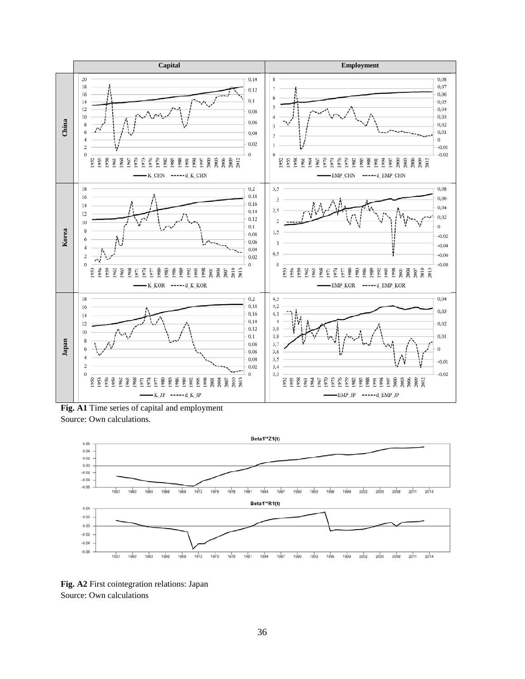

**Fig. A1** Time series of capital and employment Source: Own calculations.



**Fig. A2** First cointegration relations: Japan Source: Own calculations